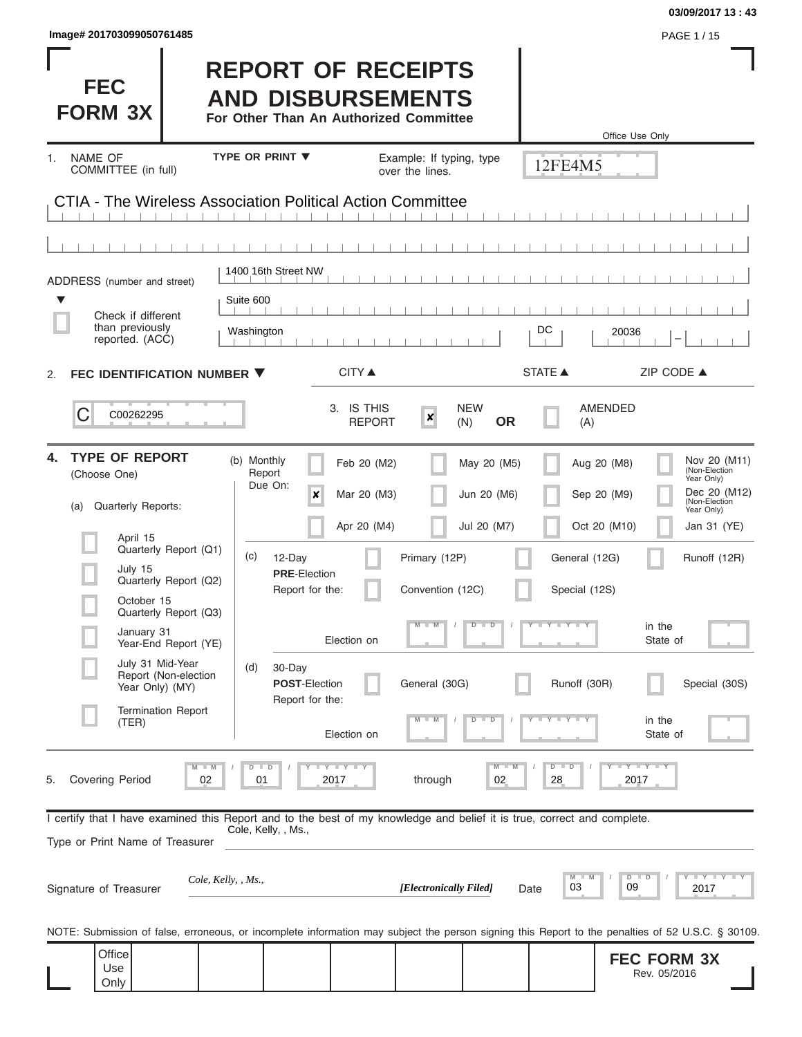| Image# 201703099050761485                                                                                                                                                                                                                                                                                                                  |                                                                                                                                                                                                                                             |                                                                                                                                                                                          |                                                                                                                                                                                                                      | PAGE 1 / 15                                                                                                                                |
|--------------------------------------------------------------------------------------------------------------------------------------------------------------------------------------------------------------------------------------------------------------------------------------------------------------------------------------------|---------------------------------------------------------------------------------------------------------------------------------------------------------------------------------------------------------------------------------------------|------------------------------------------------------------------------------------------------------------------------------------------------------------------------------------------|----------------------------------------------------------------------------------------------------------------------------------------------------------------------------------------------------------------------|--------------------------------------------------------------------------------------------------------------------------------------------|
| <b>FEC</b><br><b>FORM 3X</b>                                                                                                                                                                                                                                                                                                               | <b>REPORT OF RECEIPTS</b><br><b>AND DISBURSEMENTS</b><br>For Other Than An Authorized Committee                                                                                                                                             |                                                                                                                                                                                          | Office Use Only                                                                                                                                                                                                      |                                                                                                                                            |
| NAME OF<br>1.<br>COMMITTEE (in full)                                                                                                                                                                                                                                                                                                       | <b>TYPE OR PRINT ▼</b>                                                                                                                                                                                                                      | Example: If typing, type<br>over the lines.                                                                                                                                              | 12FE4M5                                                                                                                                                                                                              |                                                                                                                                            |
|                                                                                                                                                                                                                                                                                                                                            | CTIA - The Wireless Association Political Action Committee                                                                                                                                                                                  |                                                                                                                                                                                          |                                                                                                                                                                                                                      |                                                                                                                                            |
|                                                                                                                                                                                                                                                                                                                                            |                                                                                                                                                                                                                                             |                                                                                                                                                                                          |                                                                                                                                                                                                                      |                                                                                                                                            |
| ADDRESS (number and street)                                                                                                                                                                                                                                                                                                                | 1400 16th Street NW                                                                                                                                                                                                                         |                                                                                                                                                                                          |                                                                                                                                                                                                                      |                                                                                                                                            |
| $\blacktriangledown$<br>Check if different                                                                                                                                                                                                                                                                                                 | Suite 600                                                                                                                                                                                                                                   |                                                                                                                                                                                          |                                                                                                                                                                                                                      |                                                                                                                                            |
| than previously<br>reported. (ACC)                                                                                                                                                                                                                                                                                                         | Washington                                                                                                                                                                                                                                  |                                                                                                                                                                                          | DC<br>20036                                                                                                                                                                                                          |                                                                                                                                            |
| FEC IDENTIFICATION NUMBER ▼<br>2.                                                                                                                                                                                                                                                                                                          | <b>CITY ▲</b>                                                                                                                                                                                                                               |                                                                                                                                                                                          | STATE A                                                                                                                                                                                                              | ZIP CODE ▲                                                                                                                                 |
| C<br>C00262295                                                                                                                                                                                                                                                                                                                             | 3. IS THIS                                                                                                                                                                                                                                  | <b>NEW</b><br>$\boldsymbol{x}$<br><b>REPORT</b><br>(N)                                                                                                                                   | <b>AMENDED</b><br><b>OR</b><br>(A)                                                                                                                                                                                   |                                                                                                                                            |
| <b>TYPE OF REPORT</b><br>4.<br>(Choose One)<br><b>Quarterly Reports:</b><br>(a)<br>April 15<br>Quarterly Report (Q1)<br>July 15<br>Quarterly Report (Q2)<br>October 15<br>Quarterly Report (Q3)<br>January 31<br>Year-End Report (YE)<br>July 31 Mid-Year<br>Report (Non-election<br>Year Only) (MY)<br><b>Termination Report</b><br>(TER) | (b) Monthly<br>Report<br>Due On:<br>x<br>(c)<br>12-Day<br><b>PRE-Election</b><br>Report for the:<br>Election on<br>(d)<br>30-Day<br><b>POST-Election</b><br>Report for the:<br>Election on<br>$T$ $Y$ $T$ $Y$ $T$ $Y$<br>$M - M$<br>$D$ $D$ | Feb 20 (M2)<br>May 20 (M5)<br>Mar 20 (M3)<br>Jun 20 (M6)<br>Apr 20 (M4)<br>Jul 20 (M7)<br>Primary (12P)<br>Convention (12C)<br>$M - M$<br>$D$ $D$<br>General (30G)<br>$M - M$<br>$D$ $D$ | Aug 20 (M8)<br>Sep 20 (M9)<br>Oct 20 (M10)<br>General (12G)<br>Special (12S)<br>in the<br>Y F Y F Y F Y<br>State of<br>Runoff (30R)<br>$Y - Y - Y - Y - Y$<br>in the<br>State of<br>Y FY FY FY<br>$M - M$<br>$D$ $D$ | Nov 20 (M11)<br>(Non-Election<br>Year Only)<br>Dec 20 (M12)<br>(Non-Election<br>Year Only)<br>Jan 31 (YE)<br>Runoff (12R)<br>Special (30S) |
| <b>Covering Period</b><br>5.<br>Type or Print Name of Treasurer                                                                                                                                                                                                                                                                            | 02<br>2017<br>01<br>I certify that I have examined this Report and to the best of my knowledge and belief it is true, correct and complete.<br>Cole, Kelly, , Ms.,                                                                          | through<br>02                                                                                                                                                                            | 28<br>2017                                                                                                                                                                                                           |                                                                                                                                            |
| Signature of Treasurer                                                                                                                                                                                                                                                                                                                     | Cole, Kelly, , Ms.,                                                                                                                                                                                                                         | [Electronically Filed]                                                                                                                                                                   | $D$ $D$<br>$M$ $M$<br>03<br>09<br>Date                                                                                                                                                                               | $Y$ $Y$ $Y$ $Y$ $Y$<br>2017                                                                                                                |
|                                                                                                                                                                                                                                                                                                                                            | NOTE: Submission of false, erroneous, or incomplete information may subject the person signing this Report to the penalties of 52 U.S.C. § 30109.                                                                                           |                                                                                                                                                                                          |                                                                                                                                                                                                                      |                                                                                                                                            |
| Office<br>Use<br>Only                                                                                                                                                                                                                                                                                                                      |                                                                                                                                                                                                                                             |                                                                                                                                                                                          | <b>FEC FORM 3X</b><br>Rev. 05/2016                                                                                                                                                                                   |                                                                                                                                            |

**03/09/2017 13 : 43**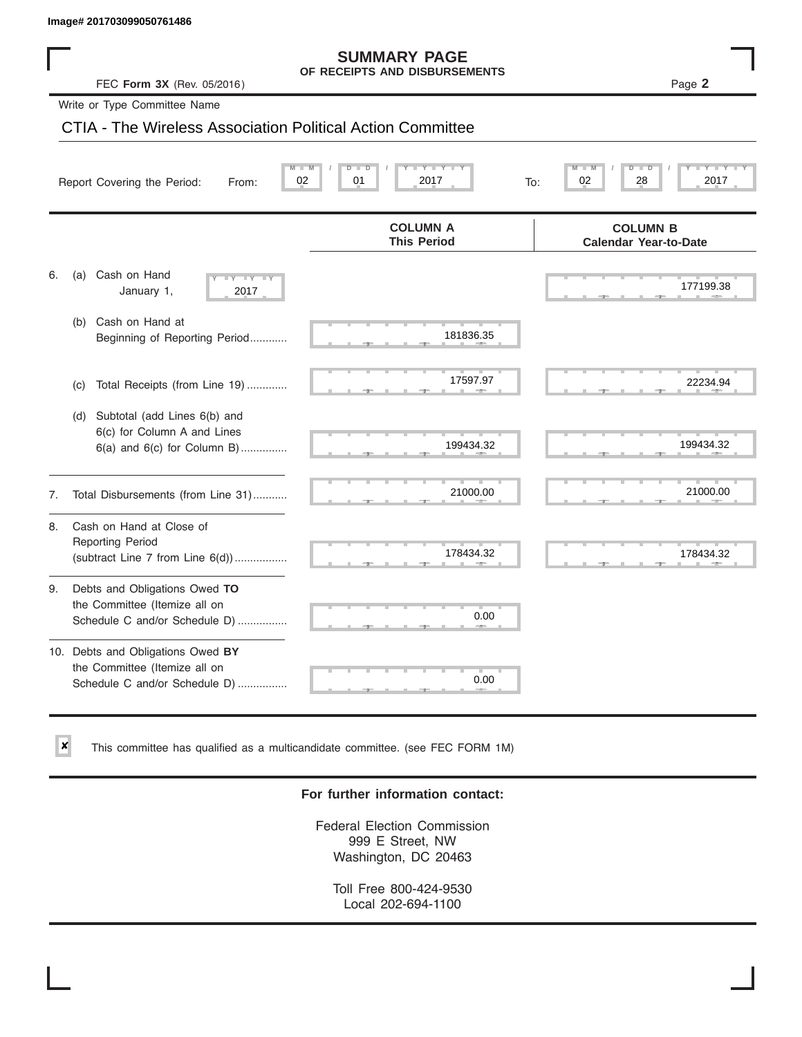✘

#### **SUMMARY PAGE OF RECEIPTS AND DISBURSEMENTS**

### CTIA - The Wireless Association Political Action Committee

|    | lmage# 201703099050761486                                                                             |                                                      |                                                 |
|----|-------------------------------------------------------------------------------------------------------|------------------------------------------------------|-------------------------------------------------|
|    | FEC Form 3X (Rev. 05/2016)                                                                            | <b>SUMMARY PAGE</b><br>OF RECEIPTS AND DISBURSEMENTS | Page 2                                          |
|    | Write or Type Committee Name                                                                          |                                                      |                                                 |
|    | CTIA - The Wireless Association Political Action Committee                                            |                                                      |                                                 |
|    | Report Covering the Period:<br>From:                                                                  | 02<br>01<br>2017<br>To:                              | D<br>02<br>28<br>2017                           |
|    |                                                                                                       | <b>COLUMN A</b><br><b>This Period</b>                | <b>COLUMN B</b><br><b>Calendar Year-to-Date</b> |
| 6. | Cash on Hand<br>(a)<br>$-Y - Y - IY$<br>January 1,<br>2017                                            |                                                      | 177199.38                                       |
|    | Cash on Hand at<br>(b)<br>Beginning of Reporting Period                                               | 181836.35                                            |                                                 |
|    | Total Receipts (from Line 19)<br>(c)                                                                  | 17597.97                                             | 22234.94                                        |
|    | Subtotal (add Lines 6(b) and<br>(d)<br>6(c) for Column A and Lines<br>$6(a)$ and $6(c)$ for Column B) | 199434.32                                            | 199434.32                                       |
| 7. | Total Disbursements (from Line 31)                                                                    | 21000.00                                             | 21000.00                                        |
| 8. | Cash on Hand at Close of<br><b>Reporting Period</b><br>(subtract Line $7$ from Line $6(d)$ )          | 178434.32                                            | 178434.32                                       |
| 9. | Debts and Obligations Owed TO<br>the Committee (Itemize all on<br>Schedule C and/or Schedule D)       | 0.00                                                 |                                                 |
|    | 10. Debts and Obligations Owed BY<br>the Committee (Itemize all on<br>Schedule C and/or Schedule D)   | T.<br>0.00                                           |                                                 |

This committee has qualified as a multicandidate committee. (see FEC FORM 1M)

#### **For further information contact:**

Federal Election Commission 999 E Street, NW Washington, DC 20463

Toll Free 800-424-9530 Local 202-694-1100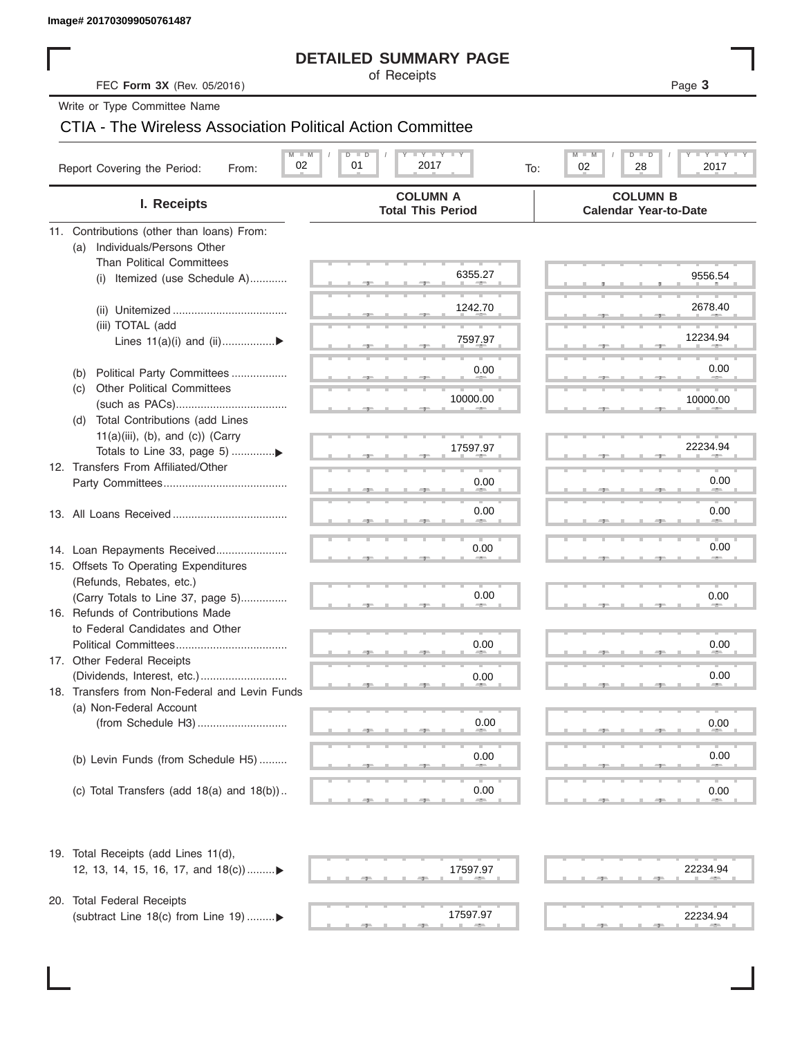#### **DETAILED SUMMARY PAGE**

### CTIA - The Wireless Association Political Action Committee

| Image# 201703099050761487                                              |                                                                 |                                                                   |
|------------------------------------------------------------------------|-----------------------------------------------------------------|-------------------------------------------------------------------|
|                                                                        | <b>DETAILED SUMMARY PAGE</b>                                    |                                                                   |
| FEC Form 3X (Rev. 05/2016)                                             | of Receipts                                                     | Page 3                                                            |
| Write or Type Committee Name                                           |                                                                 |                                                                   |
| CTIA - The Wireless Association Political Action Committee             |                                                                 |                                                                   |
| $M - M$<br>02<br>Report Covering the Period:<br>From:                  | $I - Y - I - Y - I - Y$<br>$D$ $\Box$<br>D<br>01<br>2017<br>To: | $I - Y - I - Y - I - Y$<br>$M - M$<br>$D$ $D$<br>02<br>28<br>2017 |
| I. Receipts                                                            | <b>COLUMN A</b><br><b>Total This Period</b>                     | <b>COLUMN B</b><br><b>Calendar Year-to-Date</b>                   |
| 11. Contributions (other than loans) From:                             |                                                                 |                                                                   |
| Individuals/Persons Other<br>(a)                                       |                                                                 |                                                                   |
| <b>Than Political Committees</b>                                       |                                                                 |                                                                   |
| Itemized (use Schedule A)<br>(i)                                       | 6355.27                                                         | 9556.54                                                           |
|                                                                        |                                                                 |                                                                   |
|                                                                        | 1242.70                                                         | 2678.40                                                           |
| (iii) TOTAL (add                                                       |                                                                 | 12234.94                                                          |
| Lines $11(a)(i)$ and $(ii)$                                            | 7597.97                                                         |                                                                   |
|                                                                        | 0.00                                                            | 0.00                                                              |
| Political Party Committees<br>(b)<br><b>Other Political Committees</b> |                                                                 |                                                                   |
| (C)                                                                    | 10000.00                                                        | 10000.00                                                          |
| Total Contributions (add Lines<br>(d)                                  |                                                                 |                                                                   |
| $11(a)(iii)$ , (b), and (c)) (Carry                                    |                                                                 |                                                                   |
|                                                                        | 17597.97                                                        | 22234.94                                                          |
| 12. Transfers From Affiliated/Other                                    |                                                                 |                                                                   |
|                                                                        | 0.00                                                            | 0.00                                                              |
|                                                                        |                                                                 |                                                                   |
|                                                                        | 0.00                                                            | 0.00                                                              |
|                                                                        |                                                                 |                                                                   |
| 14. Loan Repayments Received                                           | 0.00                                                            | 0.00                                                              |
| 15. Offsets To Operating Expenditures                                  |                                                                 |                                                                   |
| (Refunds, Rebates, etc.)                                               |                                                                 |                                                                   |
| (Carry Totals to Line 37, page 5)                                      | 0.00                                                            | 0.00                                                              |
| 16. Refunds of Contributions Made                                      |                                                                 |                                                                   |
| to Federal Candidates and Other                                        |                                                                 |                                                                   |
| Political Committees                                                   | $0.00\,$                                                        | 0.00                                                              |
| 17. Other Federal Receipts                                             |                                                                 | 0.00                                                              |
| 18. Transfers from Non-Federal and Levin Funds                         | 0.00                                                            |                                                                   |
| (a) Non-Federal Account                                                |                                                                 |                                                                   |
|                                                                        | $0.00\,$                                                        | 0.00                                                              |
|                                                                        |                                                                 |                                                                   |
| (b) Levin Funds (from Schedule H5)                                     | 0.00                                                            | 0.00                                                              |
|                                                                        |                                                                 |                                                                   |
| (c) Total Transfers (add $18(a)$ and $18(b)$ )                         | 0.00                                                            | 0.00                                                              |
|                                                                        |                                                                 |                                                                   |
| 19. Total Receipts (add Lines 11(d),                                   |                                                                 |                                                                   |
| 12, 13, 14, 15, 16, 17, and 18(c))▶                                    | 17597.97                                                        | 22234.94                                                          |
|                                                                        |                                                                 |                                                                   |
| 20. Total Federal Receipts                                             |                                                                 |                                                                   |
| (subtract Line 18(c) from Line 19) ▶                                   | 17597.97                                                        | 22234.94                                                          |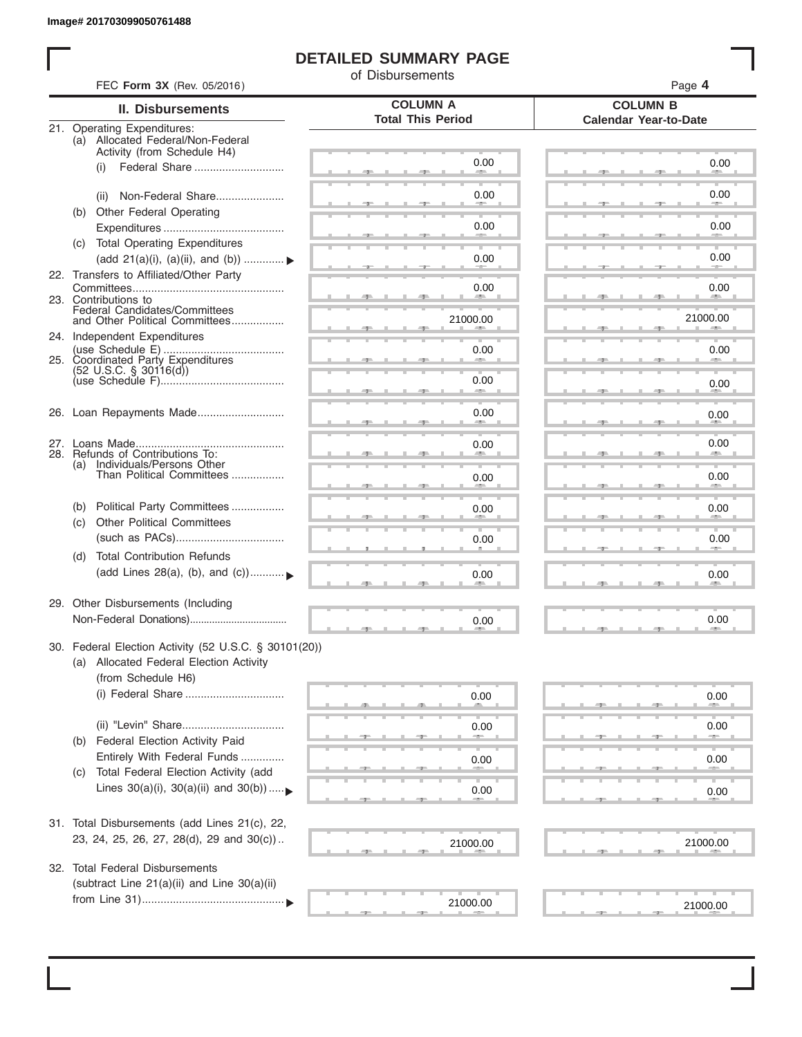I

#### **DETAILED SUMMARY PAGE**

of Disbursements

|     | FEC Form 3X (Rev. 05/2016)                                                                                             |                                             | Page 4                                          |  |  |  |
|-----|------------------------------------------------------------------------------------------------------------------------|---------------------------------------------|-------------------------------------------------|--|--|--|
|     | <b>II. Disbursements</b>                                                                                               | <b>COLUMN A</b><br><b>Total This Period</b> | <b>COLUMN B</b><br><b>Calendar Year-to-Date</b> |  |  |  |
|     | 21. Operating Expenditures:<br>(a) Allocated Federal/Non-Federal<br>Activity (from Schedule H4)                        |                                             |                                                 |  |  |  |
|     | Federal Share<br>(i)                                                                                                   | 0.00                                        | 0.00                                            |  |  |  |
|     | Non-Federal Share<br>(ii)                                                                                              | 0.00                                        | 0.00                                            |  |  |  |
| (b) | Other Federal Operating                                                                                                | 0.00                                        | 0.00                                            |  |  |  |
|     | (c) Total Operating Expenditures<br>(add 21(a)(i), (a)(ii), and (b))                                                   | 0.00                                        | 0.00                                            |  |  |  |
|     | 22. Transfers to Affiliated/Other Party                                                                                | 0.00                                        | 0.00                                            |  |  |  |
|     | 23. Contributions to<br>Federal Candidates/Committees<br>and Other Political Committees                                |                                             | <b>AREA</b>                                     |  |  |  |
|     | 24. Independent Expenditures                                                                                           | 21000.00                                    | 21000.00                                        |  |  |  |
|     | 25. Coordinated Party Expenditures                                                                                     | 0.00                                        | 0.00                                            |  |  |  |
|     | $(52 \text{ U.S.C. }$ § 30116(d))                                                                                      | 0.00<br>an a                                | 0.00                                            |  |  |  |
|     | 26. Loan Repayments Made                                                                                               | 0.00                                        | 0.00                                            |  |  |  |
|     | 28. Refunds of Contributions To:                                                                                       | 0.00                                        | 0.00                                            |  |  |  |
|     | (a) Individuals/Persons Other<br>Than Political Committees                                                             | 0.00                                        | 0.00                                            |  |  |  |
| (b) | Political Party Committees                                                                                             | 0.00                                        | 0.00                                            |  |  |  |
| (C) | <b>Other Political Committees</b>                                                                                      | 0.00                                        | 0.00                                            |  |  |  |
| (d) | <b>Total Contribution Refunds</b><br>(add Lines 28(a), (b), and (c))                                                   | 0.00                                        | 0.00                                            |  |  |  |
|     | 29. Other Disbursements (Including                                                                                     | 0.00                                        | 0.00                                            |  |  |  |
|     |                                                                                                                        |                                             |                                                 |  |  |  |
|     | 30. Federal Election Activity (52 U.S.C. § 30101(20))<br>(a) Allocated Federal Election Activity<br>(from Schedule H6) |                                             |                                                 |  |  |  |
|     | (i) Federal Share                                                                                                      | 0.00                                        | 0.00                                            |  |  |  |
|     |                                                                                                                        | 0.00                                        | 0.00                                            |  |  |  |
| (b) | Federal Election Activity Paid<br>Entirely With Federal Funds                                                          | 0.00                                        | 0.00                                            |  |  |  |
| (C) | Total Federal Election Activity (add<br>Lines $30(a)(i)$ , $30(a)(ii)$ and $30(b))$                                    | 0.00                                        | $0.00\,$                                        |  |  |  |
|     | 31. Total Disbursements (add Lines 21(c), 22,                                                                          |                                             |                                                 |  |  |  |
|     | 23, 24, 25, 26, 27, 28(d), 29 and 30(c))                                                                               | 21000.00                                    | 21000.00                                        |  |  |  |
|     | 32. Total Federal Disbursements                                                                                        |                                             |                                                 |  |  |  |
|     | (subtract Line 21(a)(ii) and Line 30(a)(ii)                                                                            | 21000.00                                    | 21000.00                                        |  |  |  |
|     |                                                                                                                        |                                             |                                                 |  |  |  |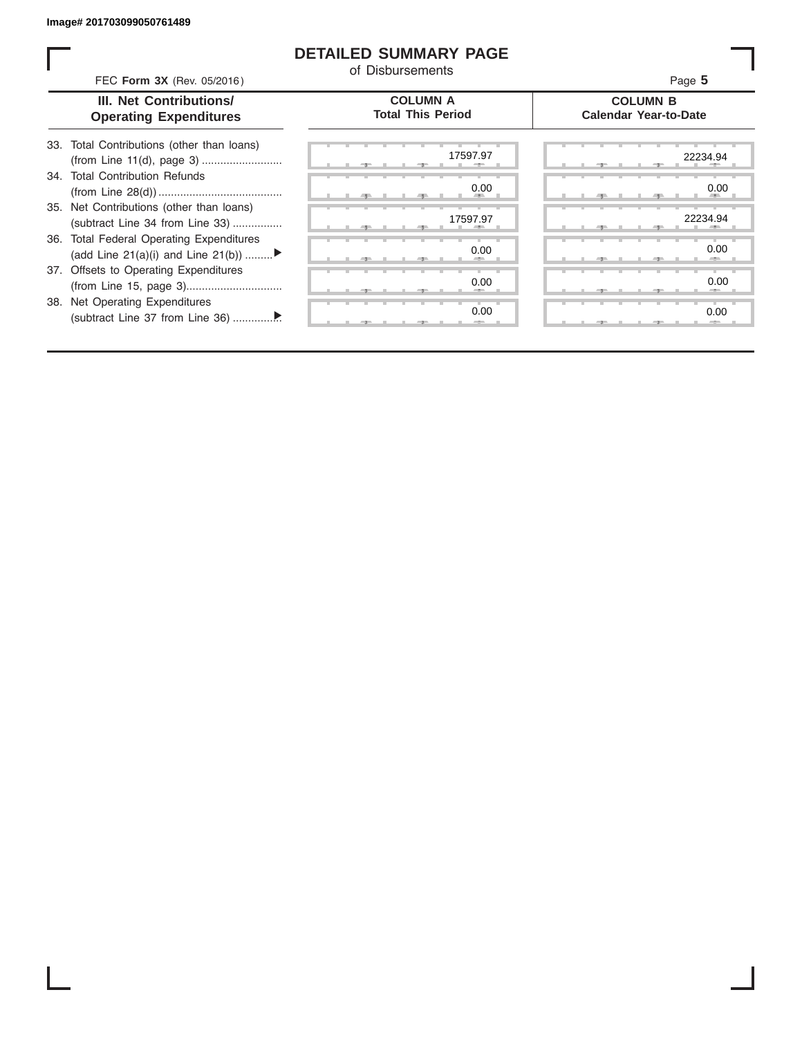ı

#### **DETAILED SUMMARY PAGE**

of Disbursements

| FEC Form 3X (Rev. 05/2016)                                      |                                                                                | u Disnascilicito                            | Page 5                                          |  |  |  |  |
|-----------------------------------------------------------------|--------------------------------------------------------------------------------|---------------------------------------------|-------------------------------------------------|--|--|--|--|
| <b>III. Net Contributions/</b><br><b>Operating Expenditures</b> |                                                                                | <b>COLUMN A</b><br><b>Total This Period</b> | <b>COLUMN B</b><br><b>Calendar Year-to-Date</b> |  |  |  |  |
|                                                                 | 33. Total Contributions (other than loans)                                     | 17597.97                                    | 22234.94                                        |  |  |  |  |
|                                                                 | 34. Total Contribution Refunds                                                 | 0.00                                        | 0.00                                            |  |  |  |  |
|                                                                 | 35. Net Contributions (other than loans)<br>(subtract Line 34 from Line 33)    | 17597.97                                    | 22234.94                                        |  |  |  |  |
|                                                                 | 36. Total Federal Operating Expenditures<br>(add Line 21(a)(i) and Line 21(b)) | 0.00                                        | 0.00                                            |  |  |  |  |
|                                                                 | 37. Offsets to Operating Expenditures                                          | 0.00                                        | 0.00                                            |  |  |  |  |
|                                                                 | 38. Net Operating Expenditures                                                 | 0.00                                        | 0.00                                            |  |  |  |  |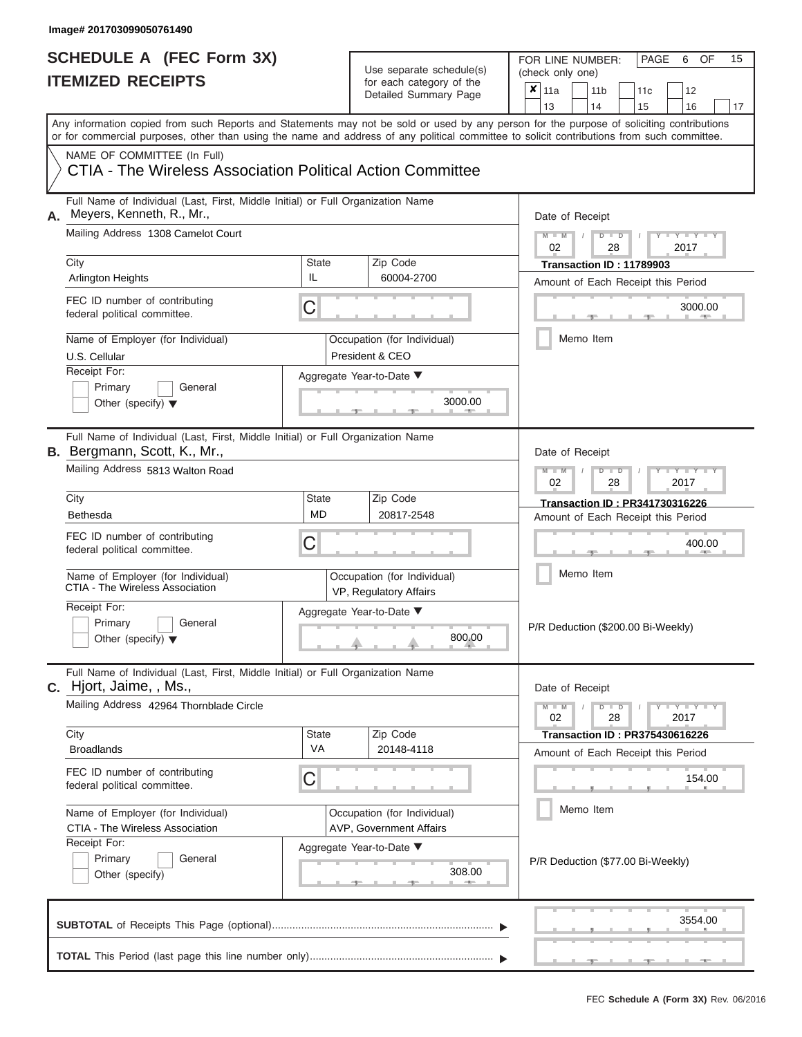## Use separate schedule(s)

| SCHEDULE A (FEC Form 3X)<br><b>ITEMIZED RECEIPTS</b>                                                                                                                                                                                                                                                                                                                                 |                                | Use separate schedule(s)<br>for each category of the<br>Detailed Summary Page                | 15<br>FOR LINE NUMBER:<br>PAGE<br>6<br>OF<br>(check only one)<br>$\overline{\mathbf{x}}$   11a<br>11 <sub>b</sub><br>11 <sub>c</sub><br>12<br>13<br>14<br>15<br>16<br>17          |
|--------------------------------------------------------------------------------------------------------------------------------------------------------------------------------------------------------------------------------------------------------------------------------------------------------------------------------------------------------------------------------------|--------------------------------|----------------------------------------------------------------------------------------------|-----------------------------------------------------------------------------------------------------------------------------------------------------------------------------------|
| Any information copied from such Reports and Statements may not be sold or used by any person for the purpose of soliciting contributions<br>or for commercial purposes, other than using the name and address of any political committee to solicit contributions from such committee.<br>NAME OF COMMITTEE (In Full)<br>CTIA - The Wireless Association Political Action Committee |                                |                                                                                              |                                                                                                                                                                                   |
| Full Name of Individual (Last, First, Middle Initial) or Full Organization Name<br>Meyers, Kenneth, R., Mr.,<br>А.<br>Mailing Address 1308 Camelot Court<br>City<br>State<br>IL<br><b>Arlington Heights</b><br>FEC ID number of contributing<br>C<br>federal political committee.                                                                                                    |                                | Zip Code<br>60004-2700                                                                       | Date of Receipt<br>$M - M$<br>$D$ $D$<br>$Y - Y - I$<br>$\sqrt{ }$<br>02<br>28<br>2017<br>Transaction ID: 11789903<br>Amount of Each Receipt this Period<br>3000.00<br><b>AND</b> |
| Name of Employer (for Individual)<br>U.S. Cellular<br>Receipt For:<br>Primary<br>General<br>Other (specify) $\blacktriangledown$                                                                                                                                                                                                                                                     |                                | Occupation (for Individual)<br>President & CEO<br>Aggregate Year-to-Date ▼<br>3000.00        | Memo Item                                                                                                                                                                         |
| Full Name of Individual (Last, First, Middle Initial) or Full Organization Name<br><b>B.</b> Bergmann, Scott, K., Mr.,<br>Mailing Address 5813 Walton Road<br>City<br><b>Bethesda</b><br>FEC ID number of contributing<br>federal political committee.                                                                                                                               | <b>State</b><br><b>MD</b><br>С | Zip Code<br>20817-2548                                                                       | Date of Receipt<br>$M - M$<br>$D$ $D$<br>Y Y Y<br>02<br>2017<br>28<br>Transaction ID: PR341730316226<br>Amount of Each Receipt this Period<br>400.00                              |
| Name of Employer (for Individual)<br>CTIA - The Wireless Association<br>Receipt For:<br>Primary<br>General<br>Other (specify) $\blacktriangledown$                                                                                                                                                                                                                                   |                                | Occupation (for Individual)<br>VP, Regulatory Affairs<br>Aggregate Year-to-Date ▼<br>800.00  | Memo Item<br>P/R Deduction (\$200.00 Bi-Weekly)                                                                                                                                   |
| Full Name of Individual (Last, First, Middle Initial) or Full Organization Name<br>C. Hjort, Jaime, , Ms.,<br>Mailing Address 42964 Thornblade Circle<br>City<br><b>Broadlands</b><br>FEC ID number of contributing                                                                                                                                                                  | State<br><b>VA</b>             | Zip Code<br>20148-4118                                                                       | Date of Receipt<br>$M - M$<br>$D$ $D$<br>$+Y+Y+Y$<br>02<br>28<br>2017<br><b>Transaction ID: PR375430616226</b><br>Amount of Each Receipt this Period                              |
| federal political committee.<br>Name of Employer (for Individual)<br>CTIA - The Wireless Association<br>Receipt For:<br>Primary<br>General<br>Other (specify)                                                                                                                                                                                                                        | С                              | Occupation (for Individual)<br>AVP, Government Affairs<br>Aggregate Year-to-Date ▼<br>308.00 | 154.00<br>Memo Item<br>P/R Deduction (\$77.00 Bi-Weekly)                                                                                                                          |
|                                                                                                                                                                                                                                                                                                                                                                                      |                                |                                                                                              | 3554.00                                                                                                                                                                           |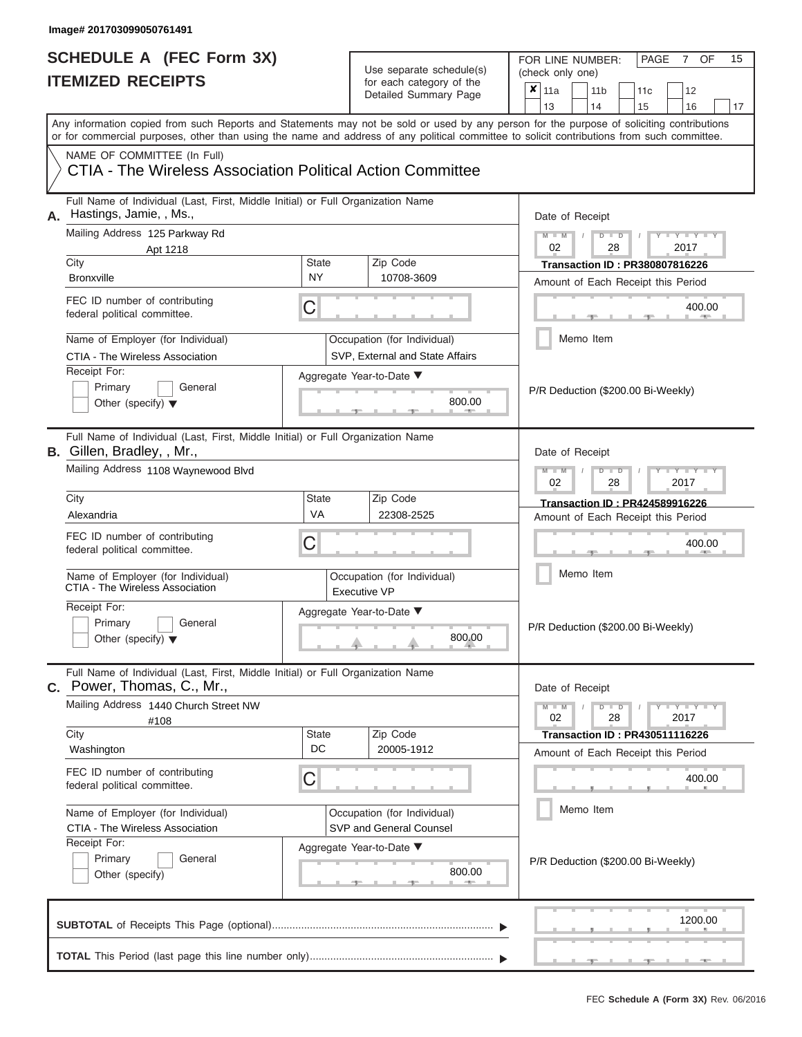## Use separate schedule(s)

| SCHEDULE A (FEC Form 3X)<br><b>ITEMIZED RECEIPTS</b>                                                                                                                                                                                                                                                                   |                                          | Use separate schedule(s)<br>for each category of the<br>Detailed Summary Page | 15<br>FOR LINE NUMBER:<br>PAGE<br>OF<br>7<br>(check only one)<br>$\overline{\mathbf{x}}$ 11a<br>11 <sub>b</sub><br>12<br>11 <sub>c</sub> |
|------------------------------------------------------------------------------------------------------------------------------------------------------------------------------------------------------------------------------------------------------------------------------------------------------------------------|------------------------------------------|-------------------------------------------------------------------------------|------------------------------------------------------------------------------------------------------------------------------------------|
| Any information copied from such Reports and Statements may not be sold or used by any person for the purpose of soliciting contributions<br>or for commercial purposes, other than using the name and address of any political committee to solicit contributions from such committee.<br>NAME OF COMMITTEE (In Full) |                                          |                                                                               | 13<br>14<br>15<br>16<br>17                                                                                                               |
| CTIA - The Wireless Association Political Action Committee                                                                                                                                                                                                                                                             |                                          |                                                                               |                                                                                                                                          |
| Full Name of Individual (Last, First, Middle Initial) or Full Organization Name<br>Hastings, Jamie, , Ms.,<br>Mailing Address 125 Parkway Rd                                                                                                                                                                           |                                          |                                                                               | Date of Receipt<br>$M = M$ /<br>$D$ $D$<br>Y TYT                                                                                         |
| Apt 1218                                                                                                                                                                                                                                                                                                               |                                          |                                                                               | 02<br>28<br>2017                                                                                                                         |
| City                                                                                                                                                                                                                                                                                                                   | <b>State</b>                             | Zip Code                                                                      | <b>Transaction ID: PR380807816226</b>                                                                                                    |
| <b>Bronxville</b>                                                                                                                                                                                                                                                                                                      | <b>NY</b>                                | 10708-3609                                                                    | Amount of Each Receipt this Period                                                                                                       |
| FEC ID number of contributing<br>federal political committee.                                                                                                                                                                                                                                                          | С                                        |                                                                               | 400.00<br><b>Britannia</b>                                                                                                               |
| Name of Employer (for Individual)<br>CTIA - The Wireless Association                                                                                                                                                                                                                                                   |                                          | Occupation (for Individual)<br>SVP, External and State Affairs                | Memo Item                                                                                                                                |
| Receipt For:<br>Primary<br>General<br>Other (specify) $\blacktriangledown$                                                                                                                                                                                                                                             |                                          | Aggregate Year-to-Date ▼<br>800.00                                            | P/R Deduction (\$200.00 Bi-Weekly)                                                                                                       |
| Full Name of Individual (Last, First, Middle Initial) or Full Organization Name<br>B. Gillen, Bradley, , Mr.,<br>Mailing Address 1108 Waynewood Blvd                                                                                                                                                                   |                                          |                                                                               | Date of Receipt<br>$M - M$<br>$D$ $D$<br>$\blacksquare$ $\blacksquare$ $\blacksquare$ $\blacksquare$ $\blacksquare$ $\blacksquare$       |
|                                                                                                                                                                                                                                                                                                                        |                                          |                                                                               | 02<br>2017<br>28                                                                                                                         |
| City                                                                                                                                                                                                                                                                                                                   | <b>State</b>                             | Zip Code                                                                      | Transaction ID: PR424589916226                                                                                                           |
| Alexandria                                                                                                                                                                                                                                                                                                             | VA                                       | 22308-2525                                                                    | Amount of Each Receipt this Period                                                                                                       |
| FEC ID number of contributing<br>federal political committee.                                                                                                                                                                                                                                                          | С                                        |                                                                               | 400.00                                                                                                                                   |
| Name of Employer (for Individual)<br>CTIA - The Wireless Association                                                                                                                                                                                                                                                   |                                          | Occupation (for Individual)<br><b>Executive VP</b>                            | Memo Item                                                                                                                                |
| Receipt For:                                                                                                                                                                                                                                                                                                           |                                          | Aggregate Year-to-Date ▼                                                      |                                                                                                                                          |
| Primary<br>General<br>Other (specify) $\blacktriangledown$                                                                                                                                                                                                                                                             |                                          | 800.00                                                                        | P/R Deduction (\$200.00 Bi-Weekly)                                                                                                       |
| Full Name of Individual (Last, First, Middle Initial) or Full Organization Name<br>C. Power, Thomas, C., Mr.,                                                                                                                                                                                                          |                                          |                                                                               | Date of Receipt                                                                                                                          |
| Mailing Address 1440 Church Street NW<br>#108                                                                                                                                                                                                                                                                          |                                          |                                                                               | $M - M$<br>$D$ $D$<br>$Y - Y - Y - Y$<br>02<br>28<br>2017                                                                                |
| City<br>Washington                                                                                                                                                                                                                                                                                                     | <b>State</b><br>DC                       | Zip Code<br>20005-1912                                                        | <b>Transaction ID: PR430511116226</b><br>Amount of Each Receipt this Period                                                              |
| FEC ID number of contributing<br>С<br>federal political committee.<br>Name of Employer (for Individual)<br>CTIA - The Wireless Association                                                                                                                                                                             |                                          |                                                                               | 400.00                                                                                                                                   |
|                                                                                                                                                                                                                                                                                                                        |                                          | Occupation (for Individual)<br>SVP and General Counsel                        | Memo Item                                                                                                                                |
| Primary<br>General<br>Other (specify)                                                                                                                                                                                                                                                                                  | Receipt For:<br>Aggregate Year-to-Date ▼ |                                                                               | P/R Deduction (\$200.00 Bi-Weekly)                                                                                                       |
|                                                                                                                                                                                                                                                                                                                        |                                          |                                                                               | 1200.00                                                                                                                                  |
|                                                                                                                                                                                                                                                                                                                        |                                          |                                                                               | - 100                                                                                                                                    |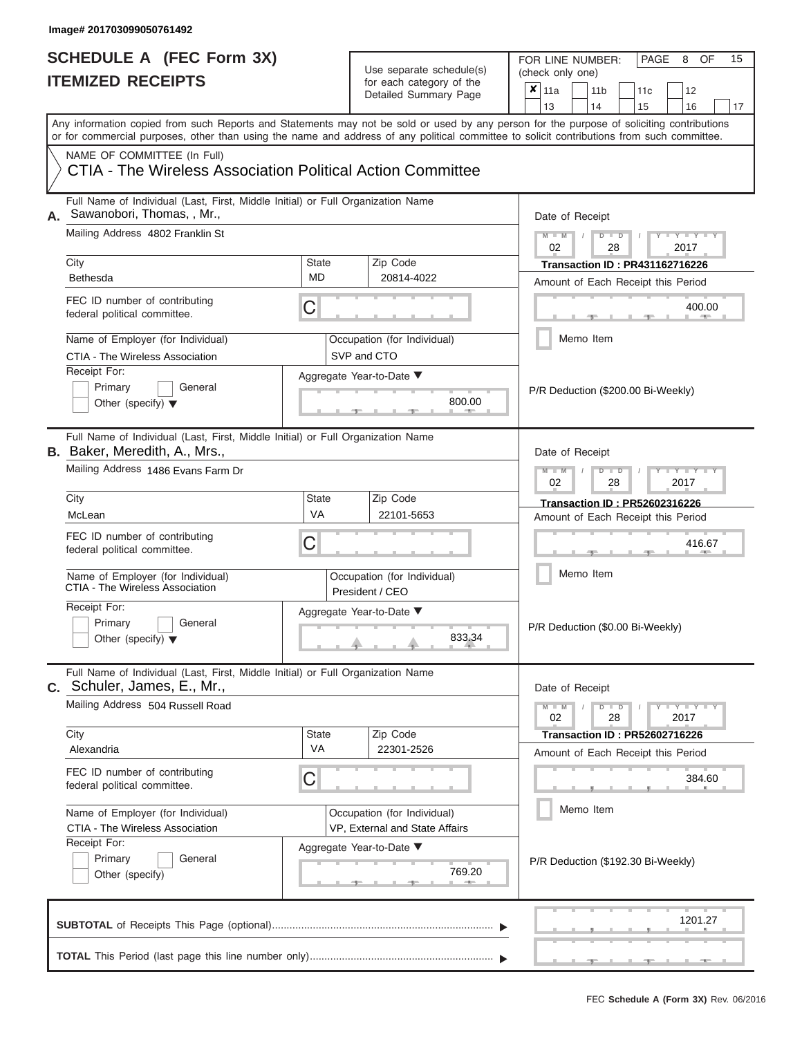| SCHEDULE A (FEC Form 3X)<br><b>ITEMIZED RECEIPTS</b>                                                                                                                      |                                                                                                                                                                                                                                   | Use separate schedule(s)<br>for each category of the<br>Detailed Summary Page | 15<br>FOR LINE NUMBER:<br>PAGE<br>8<br><b>OF</b><br>(check only one)<br>$\boldsymbol{x}$<br>11a<br>11 <sub>b</sub><br>11c<br>12<br>13<br>14<br>15<br>16<br>17 |  |  |  |
|---------------------------------------------------------------------------------------------------------------------------------------------------------------------------|-----------------------------------------------------------------------------------------------------------------------------------------------------------------------------------------------------------------------------------|-------------------------------------------------------------------------------|---------------------------------------------------------------------------------------------------------------------------------------------------------------|--|--|--|
| or for commercial purposes, other than using the name and address of any political committee to solicit contributions from such committee.<br>NAME OF COMMITTEE (In Full) |                                                                                                                                                                                                                                   |                                                                               | Any information copied from such Reports and Statements may not be sold or used by any person for the purpose of soliciting contributions                     |  |  |  |
| CTIA - The Wireless Association Political Action Committee                                                                                                                |                                                                                                                                                                                                                                   |                                                                               |                                                                                                                                                               |  |  |  |
| Full Name of Individual (Last, First, Middle Initial) or Full Organization Name<br>Sawanobori, Thomas, , Mr.,<br>Mailing Address 4802 Franklin St                         |                                                                                                                                                                                                                                   |                                                                               | Date of Receipt<br>$M - M$<br>$D$ $D$<br>$Y - Y - T$                                                                                                          |  |  |  |
| City                                                                                                                                                                      | <b>State</b>                                                                                                                                                                                                                      | Zip Code                                                                      | 02<br>28<br>2017<br><b>Transaction ID: PR431162716226</b>                                                                                                     |  |  |  |
| Bethesda<br>FEC ID number of contributing                                                                                                                                 | <b>MD</b><br>C                                                                                                                                                                                                                    | 20814-4022                                                                    | Amount of Each Receipt this Period<br>400.00                                                                                                                  |  |  |  |
| federal political committee.<br>Name of Employer (for Individual)                                                                                                         |                                                                                                                                                                                                                                   | Occupation (for Individual)                                                   | <b>AND IN</b><br>Memo Item                                                                                                                                    |  |  |  |
| CTIA - The Wireless Association<br>Receipt For:                                                                                                                           |                                                                                                                                                                                                                                   | SVP and CTO                                                                   |                                                                                                                                                               |  |  |  |
| Primary<br>General<br>Other (specify) $\blacktriangledown$                                                                                                                |                                                                                                                                                                                                                                   | Aggregate Year-to-Date ▼<br>800.00                                            | P/R Deduction (\$200.00 Bi-Weekly)                                                                                                                            |  |  |  |
| Full Name of Individual (Last, First, Middle Initial) or Full Organization Name<br><b>B.</b> Baker, Meredith, A., Mrs.,<br>Mailing Address 1486 Evans Farm Dr             |                                                                                                                                                                                                                                   |                                                                               | Date of Receipt<br>$M - M$<br>$D$ $D$<br>$Y = Y$                                                                                                              |  |  |  |
| City                                                                                                                                                                      | State                                                                                                                                                                                                                             | Zip Code                                                                      | 02<br>28<br>2017<br><b>Transaction ID: PR52602316226</b>                                                                                                      |  |  |  |
| McLean                                                                                                                                                                    | VA                                                                                                                                                                                                                                | 22101-5653                                                                    | Amount of Each Receipt this Period                                                                                                                            |  |  |  |
| FEC ID number of contributing<br>federal political committee.                                                                                                             | С                                                                                                                                                                                                                                 |                                                                               | 416.67                                                                                                                                                        |  |  |  |
| Name of Employer (for Individual)<br>CTIA - The Wireless Association                                                                                                      |                                                                                                                                                                                                                                   | Occupation (for Individual)<br>President / CEO                                | Memo Item                                                                                                                                                     |  |  |  |
| Receipt For:<br>Primary<br>General                                                                                                                                        |                                                                                                                                                                                                                                   | Aggregate Year-to-Date ▼                                                      |                                                                                                                                                               |  |  |  |
| Other (specify) $\blacktriangledown$                                                                                                                                      |                                                                                                                                                                                                                                   | 833.34                                                                        | P/R Deduction (\$0.00 Bi-Weekly)                                                                                                                              |  |  |  |
| Full Name of Individual (Last, First, Middle Initial) or Full Organization Name<br>C. Schuler, James, E., Mr.,                                                            |                                                                                                                                                                                                                                   |                                                                               | Date of Receipt                                                                                                                                               |  |  |  |
| Mailing Address 504 Russell Road                                                                                                                                          |                                                                                                                                                                                                                                   | Zip Code                                                                      | $M - M$<br>$D$ $D$<br>$\mathbf{I} = \mathbf{Y} + \mathbf{Y}$<br>28<br>2017<br>02                                                                              |  |  |  |
| City<br>Alexandria                                                                                                                                                        | State<br><b>VA</b><br>FEC ID number of contributing<br>С<br>federal political committee.<br>Name of Employer (for Individual)<br>Occupation (for Individual)<br>CTIA - The Wireless Association<br>VP, External and State Affairs |                                                                               | <b>Transaction ID: PR52602716226</b><br>Amount of Each Receipt this Period                                                                                    |  |  |  |
|                                                                                                                                                                           |                                                                                                                                                                                                                                   |                                                                               | 384.60                                                                                                                                                        |  |  |  |
|                                                                                                                                                                           |                                                                                                                                                                                                                                   |                                                                               | Memo Item                                                                                                                                                     |  |  |  |
| Receipt For:<br>General<br>Primary<br>Other (specify)                                                                                                                     |                                                                                                                                                                                                                                   | Aggregate Year-to-Date ▼<br>769.20                                            | P/R Deduction (\$192.30 Bi-Weekly)                                                                                                                            |  |  |  |
|                                                                                                                                                                           |                                                                                                                                                                                                                                   |                                                                               | 1201.27                                                                                                                                                       |  |  |  |
|                                                                                                                                                                           |                                                                                                                                                                                                                                   |                                                                               |                                                                                                                                                               |  |  |  |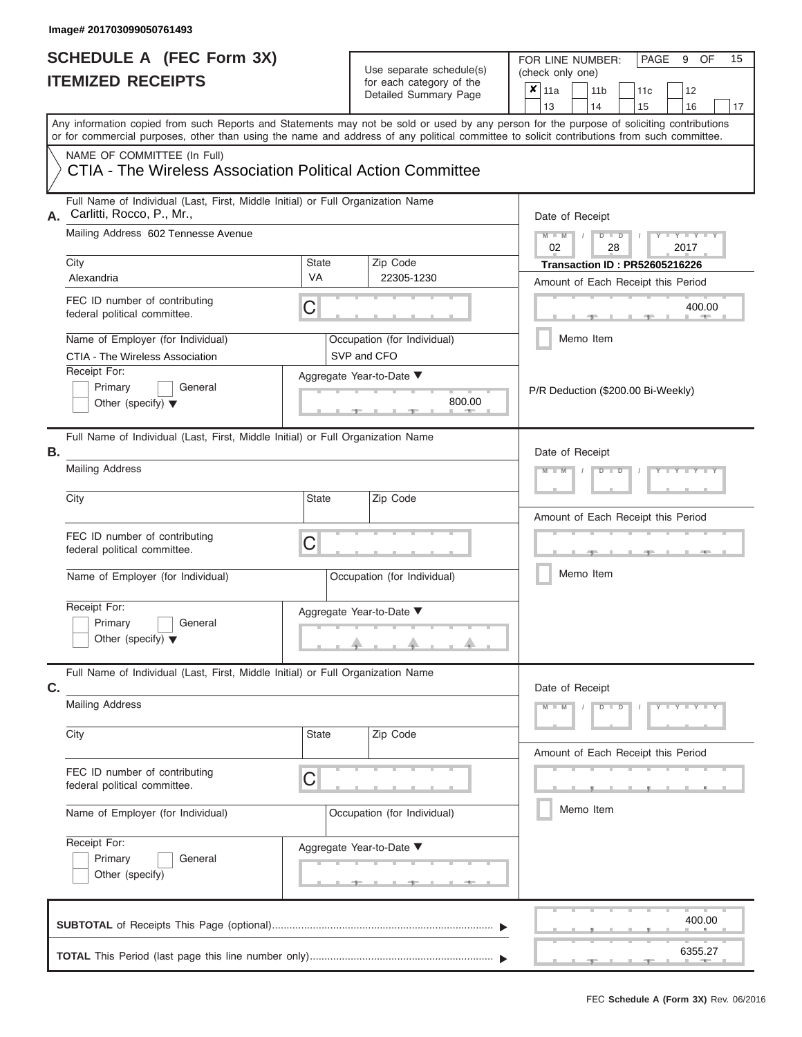| SCHEDULE A (FEC Form 3X)<br><b>ITEMIZED RECEIPTS</b>                                                                                       |                           | Use separate schedule(s)<br>for each category of the<br>Detailed Summary Page | 15<br>FOR LINE NUMBER:<br>PAGE<br>9<br>OF<br>(check only one)<br>$\overline{\mathbf{x}}$   11a<br>11 <sub>b</sub><br>11 <sub>c</sub><br>12                              |
|--------------------------------------------------------------------------------------------------------------------------------------------|---------------------------|-------------------------------------------------------------------------------|-------------------------------------------------------------------------------------------------------------------------------------------------------------------------|
| or for commercial purposes, other than using the name and address of any political committee to solicit contributions from such committee. |                           |                                                                               | 13<br>14<br>15<br>16<br>17<br>Any information copied from such Reports and Statements may not be sold or used by any person for the purpose of soliciting contributions |
| NAME OF COMMITTEE (In Full)<br>CTIA - The Wireless Association Political Action Committee                                                  |                           |                                                                               |                                                                                                                                                                         |
| Full Name of Individual (Last, First, Middle Initial) or Full Organization Name<br>A. Carlitti, Rocco, P., Mr.,                            |                           |                                                                               | Date of Receipt                                                                                                                                                         |
| Mailing Address 602 Tennesse Avenue                                                                                                        |                           |                                                                               | $M$ – $M$ /<br>Y I Y I<br>$D$ $D$<br>02<br>28<br>2017                                                                                                                   |
| City<br>Alexandria                                                                                                                         | <b>State</b><br><b>VA</b> | Zip Code<br>22305-1230                                                        | <b>Transaction ID: PR52605216226</b><br>Amount of Each Receipt this Period                                                                                              |
| FEC ID number of contributing<br>federal political committee.                                                                              | C                         |                                                                               | 400.00                                                                                                                                                                  |
| Name of Employer (for Individual)<br>CTIA - The Wireless Association                                                                       |                           | Occupation (for Individual)<br>SVP and CFO                                    | Memo Item                                                                                                                                                               |
| Receipt For:<br>Primary<br>General<br>Other (specify) $\blacktriangledown$                                                                 |                           | Aggregate Year-to-Date ▼<br>800.00                                            | P/R Deduction (\$200.00 Bi-Weekly)                                                                                                                                      |
| Full Name of Individual (Last, First, Middle Initial) or Full Organization Name<br>Β.<br><b>Mailing Address</b>                            |                           |                                                                               | Date of Receipt<br>$M - M$<br>$D$ $D$                                                                                                                                   |
| City                                                                                                                                       | <b>State</b>              | Zip Code                                                                      |                                                                                                                                                                         |
|                                                                                                                                            |                           |                                                                               | Amount of Each Receipt this Period                                                                                                                                      |
| FEC ID number of contributing<br>federal political committee.                                                                              | C                         |                                                                               | <b>AND</b>                                                                                                                                                              |
| Name of Employer (for Individual)                                                                                                          |                           | Occupation (for Individual)                                                   | Memo Item                                                                                                                                                               |
| Receipt For:                                                                                                                               |                           | Aggregate Year-to-Date ▼                                                      |                                                                                                                                                                         |
| Primary<br>General<br>Other (specify) $\blacktriangledown$                                                                                 |                           | J.                                                                            |                                                                                                                                                                         |
| Full Name of Individual (Last, First, Middle Initial) or Full Organization Name<br>C.                                                      |                           |                                                                               | Date of Receipt                                                                                                                                                         |
| <b>Mailing Address</b>                                                                                                                     |                           |                                                                               | $M - M$<br>$D$ $\Box$ $D$<br>$Y = Y = Y + Y$                                                                                                                            |
| City                                                                                                                                       | <b>State</b>              | Zip Code                                                                      | Amount of Each Receipt this Period                                                                                                                                      |
| FEC ID number of contributing<br>federal political committee.                                                                              | С                         |                                                                               |                                                                                                                                                                         |
| Name of Employer (for Individual)                                                                                                          |                           | Occupation (for Individual)                                                   | Memo Item                                                                                                                                                               |
| Receipt For:<br>Primary<br>General<br>Other (specify)                                                                                      |                           | Aggregate Year-to-Date ▼                                                      |                                                                                                                                                                         |
|                                                                                                                                            |                           |                                                                               | 400.00                                                                                                                                                                  |
|                                                                                                                                            |                           |                                                                               | 6355.27                                                                                                                                                                 |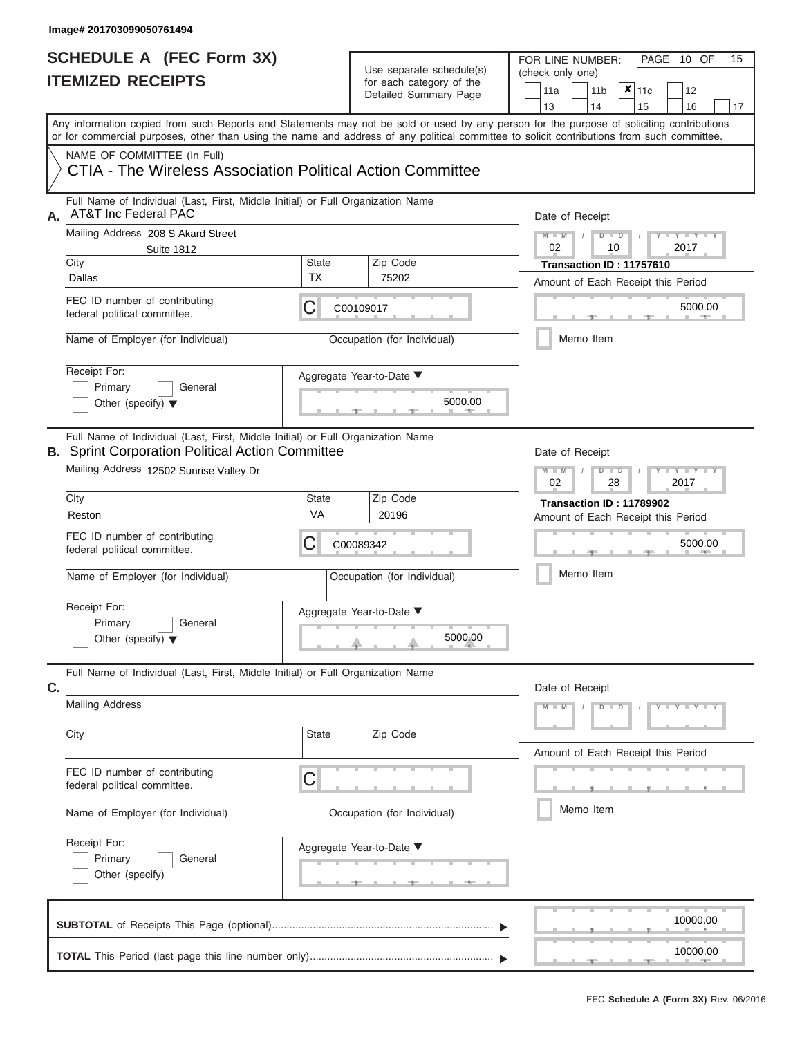### **SCHEDULE A (FEC Form 3X) ITEMIZED RECEIPTS**

| SCHEDULE A (FEC Form 3X)<br><b>ITEMIZED RECEIPTS</b>                                                                                                                                                                                                                                    |                    | Use separate schedule(s)                            | 15<br>FOR LINE NUMBER:<br>PAGE 10 OF<br>(check only one)                                    |
|-----------------------------------------------------------------------------------------------------------------------------------------------------------------------------------------------------------------------------------------------------------------------------------------|--------------------|-----------------------------------------------------|---------------------------------------------------------------------------------------------|
|                                                                                                                                                                                                                                                                                         |                    | for each category of the<br>Detailed Summary Page   | $\overline{\mathsf{x}}$   11c<br>11a<br>11 <sub>b</sub><br>12<br>13<br>14<br>15<br>16<br>17 |
| Any information copied from such Reports and Statements may not be sold or used by any person for the purpose of soliciting contributions<br>or for commercial purposes, other than using the name and address of any political committee to solicit contributions from such committee. |                    |                                                     |                                                                                             |
| NAME OF COMMITTEE (In Full)<br>CTIA - The Wireless Association Political Action Committee                                                                                                                                                                                               |                    |                                                     |                                                                                             |
| Full Name of Individual (Last, First, Middle Initial) or Full Organization Name<br><b>AT&amp;T Inc Federal PAC</b><br>А.                                                                                                                                                                |                    |                                                     | Date of Receipt                                                                             |
| Mailing Address 208 S Akard Street<br><b>Suite 1812</b>                                                                                                                                                                                                                                 |                    |                                                     | $M - M$<br>$D$ $D$<br>$Y - Y - Y$<br>02<br>10<br>2017                                       |
| City<br>Dallas                                                                                                                                                                                                                                                                          | State<br><b>TX</b> | Zip Code<br>75202                                   | Transaction ID: 11757610                                                                    |
| FEC ID number of contributing<br>federal political committee.                                                                                                                                                                                                                           | С                  | C00109017                                           | Amount of Each Receipt this Period<br>5000.00                                               |
| Name of Employer (for Individual)                                                                                                                                                                                                                                                       |                    | Occupation (for Individual)                         | Memo Item                                                                                   |
| Receipt For:<br>Primary<br>General<br>Other (specify) $\blacktriangledown$                                                                                                                                                                                                              |                    | Aggregate Year-to-Date ▼<br>5000.00                 |                                                                                             |
| Full Name of Individual (Last, First, Middle Initial) or Full Organization Name<br><b>B.</b> Sprint Corporation Political Action Committee<br>Mailing Address 12502 Sunrise Valley Dr                                                                                                   |                    |                                                     | Date of Receipt<br>$M - M$<br>$D$ $D$<br>$\Box$ $\Upsilon$ $\Box$ $\Upsilon$ $\Upsilon$     |
| City                                                                                                                                                                                                                                                                                    | State              | Zip Code                                            | 2017<br>02<br>28                                                                            |
| Reston                                                                                                                                                                                                                                                                                  | VA                 | 20196                                               | Transaction ID: 11789902<br>Amount of Each Receipt this Period                              |
| FEC ID number of contributing<br>federal political committee.                                                                                                                                                                                                                           | С                  | C00089342                                           | 5000.00                                                                                     |
| Name of Employer (for Individual)                                                                                                                                                                                                                                                       |                    | Occupation (for Individual)                         | Memo Item                                                                                   |
| Receipt For:                                                                                                                                                                                                                                                                            |                    | Aggregate Year-to-Date ▼                            |                                                                                             |
| Primary<br>General<br>Other (specify) $\blacktriangledown$                                                                                                                                                                                                                              |                    | 5000.00                                             |                                                                                             |
| Full Name of Individual (Last, First, Middle Initial) or Full Organization Name<br>C.                                                                                                                                                                                                   |                    |                                                     | Date of Receipt                                                                             |
| <b>Mailing Address</b>                                                                                                                                                                                                                                                                  |                    |                                                     | $M - M$<br>$D$ $D$<br>$Y - Y - Y - Y - Y$                                                   |
| City                                                                                                                                                                                                                                                                                    | State              | Zip Code                                            | Amount of Each Receipt this Period                                                          |
| FEC ID number of contributing<br>С<br>federal political committee.<br>Name of Employer (for Individual)                                                                                                                                                                                 |                    |                                                     |                                                                                             |
|                                                                                                                                                                                                                                                                                         |                    | Occupation (for Individual)                         | Memo Item                                                                                   |
| Receipt For:<br>Primary<br>General<br>Other (specify)                                                                                                                                                                                                                                   |                    | Aggregate Year-to-Date ▼<br><u>_______</u> ________ |                                                                                             |
|                                                                                                                                                                                                                                                                                         |                    |                                                     | 10000.00                                                                                    |
|                                                                                                                                                                                                                                                                                         |                    |                                                     | 10000.00                                                                                    |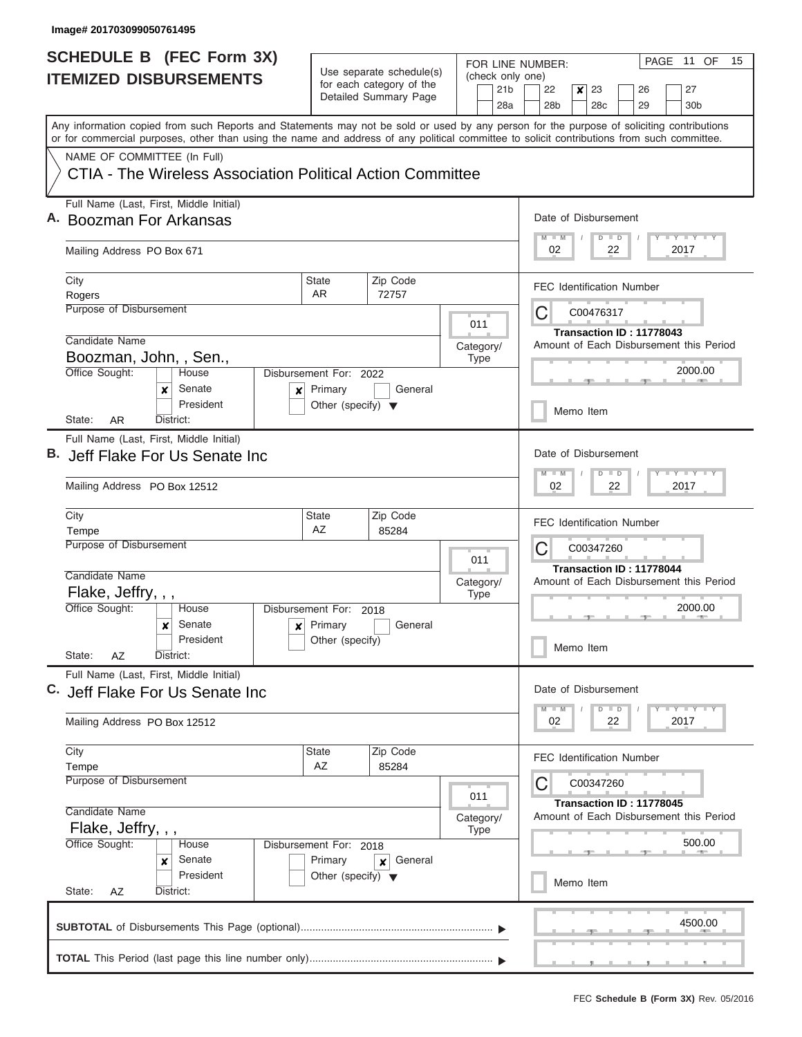|                               | <b>SCHEDULE B (FEC Form 3X)</b>                                                                                                            |                                                 |                                                      |  |             |                        | FOR LINE NUMBER:                                                              |           |                                  |    |          |      | PAGE 11 OF                              | 15 |
|-------------------------------|--------------------------------------------------------------------------------------------------------------------------------------------|-------------------------------------------------|------------------------------------------------------|--|-------------|------------------------|-------------------------------------------------------------------------------|-----------|----------------------------------|----|----------|------|-----------------------------------------|----|
| <b>ITEMIZED DISBURSEMENTS</b> |                                                                                                                                            |                                                 | Use separate schedule(s)<br>for each category of the |  |             | (check only one)       |                                                                               |           |                                  |    |          |      |                                         |    |
|                               |                                                                                                                                            |                                                 | Detailed Summary Page                                |  |             | 21 <sub>b</sub><br>28a | 22<br>28 <sub>b</sub>                                                         | x         | 23<br>28c                        |    | 26<br>29 |      | 27<br>30b                               |    |
|                               | Any information copied from such Reports and Statements may not be sold or used by any person for the purpose of soliciting contributions  |                                                 |                                                      |  |             |                        |                                                                               |           |                                  |    |          |      |                                         |    |
|                               | or for commercial purposes, other than using the name and address of any political committee to solicit contributions from such committee. |                                                 |                                                      |  |             |                        |                                                                               |           |                                  |    |          |      |                                         |    |
|                               | NAME OF COMMITTEE (In Full)                                                                                                                |                                                 |                                                      |  |             |                        |                                                                               |           |                                  |    |          |      |                                         |    |
|                               | CTIA - The Wireless Association Political Action Committee                                                                                 |                                                 |                                                      |  |             |                        |                                                                               |           |                                  |    |          |      |                                         |    |
|                               | Full Name (Last, First, Middle Initial)                                                                                                    |                                                 |                                                      |  |             |                        |                                                                               |           |                                  |    |          |      |                                         |    |
|                               | A. Boozman For Arkansas                                                                                                                    |                                                 |                                                      |  |             |                        | Date of Disbursement<br><b>LY LY LY</b><br>$M - M$<br>$D$ $D$                 |           |                                  |    |          |      |                                         |    |
|                               | Mailing Address PO Box 671                                                                                                                 |                                                 |                                                      |  |             |                        | 02                                                                            |           |                                  | 22 |          | 2017 |                                         |    |
|                               | City                                                                                                                                       | <b>State</b>                                    | Zip Code                                             |  |             |                        |                                                                               |           | <b>FEC Identification Number</b> |    |          |      |                                         |    |
|                               | Rogers<br>Purpose of Disbursement                                                                                                          | AR                                              | 72757                                                |  |             |                        |                                                                               |           |                                  |    |          |      |                                         |    |
|                               |                                                                                                                                            |                                                 |                                                      |  | 011         |                        | С                                                                             |           | C00476317                        |    |          |      |                                         |    |
|                               | Candidate Name                                                                                                                             |                                                 |                                                      |  | Category/   |                        |                                                                               |           | Transaction ID: 11778043         |    |          |      | Amount of Each Disbursement this Period |    |
|                               | Boozman, John, , Sen.,                                                                                                                     |                                                 |                                                      |  | <b>Type</b> |                        |                                                                               |           |                                  |    |          |      |                                         |    |
|                               | Office Sought:<br>House                                                                                                                    | Disbursement For: 2022                          |                                                      |  |             |                        |                                                                               |           |                                  |    |          |      | 2000.00                                 |    |
|                               | Senate<br>×<br>x<br>President                                                                                                              | Primary<br>Other (specify) $\blacktriangledown$ | General                                              |  |             |                        |                                                                               |           |                                  |    |          |      |                                         |    |
|                               | State:<br>AR.<br>District:                                                                                                                 |                                                 |                                                      |  |             |                        |                                                                               | Memo Item |                                  |    |          |      |                                         |    |
|                               | Full Name (Last, First, Middle Initial)                                                                                                    |                                                 |                                                      |  |             |                        |                                                                               |           |                                  |    |          |      |                                         |    |
|                               | B. Jeff Flake For Us Senate Inc                                                                                                            |                                                 |                                                      |  |             |                        |                                                                               |           | Date of Disbursement             |    |          |      |                                         |    |
|                               | Mailing Address PO Box 12512                                                                                                               |                                                 |                                                      |  |             |                        | $T - Y$ $T - Y$ $T - Y$<br>$M - M$<br>D<br>$\blacksquare$<br>02<br>22<br>2017 |           |                                  |    |          |      |                                         |    |
|                               | City                                                                                                                                       | State<br>Zip Code                               |                                                      |  |             |                        |                                                                               |           |                                  |    |          |      |                                         |    |
|                               | Tempe                                                                                                                                      | AZ                                              | 85284                                                |  |             |                        |                                                                               |           | <b>FEC Identification Number</b> |    |          |      |                                         |    |
|                               | Purpose of Disbursement                                                                                                                    |                                                 |                                                      |  |             |                        |                                                                               |           | C00347260                        |    |          |      |                                         |    |
|                               |                                                                                                                                            |                                                 |                                                      |  | 011         |                        | С                                                                             |           | Transaction ID: 11778044         |    |          |      |                                         |    |
|                               | Candidate Name                                                                                                                             |                                                 |                                                      |  | Category/   |                        | Amount of Each Disbursement this Period                                       |           |                                  |    |          |      |                                         |    |
|                               | Flake, Jeffry, , ,<br>Office Sought:<br>House                                                                                              | Disbursement For: 2018                          |                                                      |  | <b>Type</b> |                        | 2000.00                                                                       |           |                                  |    |          |      |                                         |    |
|                               | Senate<br>$\boldsymbol{x}$                                                                                                                 | $\mathbf{x}$ Primary                            | General                                              |  |             |                        |                                                                               |           |                                  |    |          |      |                                         |    |
|                               | President                                                                                                                                  | Other (specify)                                 |                                                      |  |             |                        |                                                                               | Memo Item |                                  |    |          |      |                                         |    |
|                               | State:<br>AZ<br>District:                                                                                                                  |                                                 |                                                      |  |             |                        |                                                                               |           |                                  |    |          |      |                                         |    |
|                               | Full Name (Last, First, Middle Initial)<br>C. Jeff Flake For Us Senate Inc                                                                 |                                                 |                                                      |  |             |                        |                                                                               |           | Date of Disbursement             |    |          |      |                                         |    |
|                               |                                                                                                                                            |                                                 |                                                      |  |             |                        | $M - M$                                                                       |           | $D \parallel D$                  |    |          |      | $T$ $Y$ $T$ $Y$ $T$ $Y$                 |    |
|                               | Mailing Address PO Box 12512                                                                                                               |                                                 |                                                      |  |             |                        | 02                                                                            |           |                                  | 22 |          | 2017 |                                         |    |
|                               | City                                                                                                                                       | <b>State</b>                                    | Zip Code                                             |  |             |                        |                                                                               |           | <b>FEC Identification Number</b> |    |          |      |                                         |    |
|                               | Tempe                                                                                                                                      | AZ                                              | 85284                                                |  |             |                        | С                                                                             |           |                                  |    |          |      |                                         |    |
|                               |                                                                                                                                            | <b>Purpose of Disbursement</b><br>011           |                                                      |  |             |                        |                                                                               |           | C00347260                        |    |          |      |                                         |    |
|                               | Candidate Name                                                                                                                             |                                                 |                                                      |  | Category/   |                        |                                                                               |           | Transaction ID: 11778045         |    |          |      | Amount of Each Disbursement this Period |    |
|                               | Flake, Jeffry, , ,                                                                                                                         |                                                 |                                                      |  | <b>Type</b> |                        |                                                                               |           |                                  |    |          |      |                                         |    |
|                               | Office Sought:<br>House                                                                                                                    | Disbursement For: 2018                          |                                                      |  |             |                        |                                                                               |           |                                  |    |          |      | 500.00                                  |    |
|                               | Senate<br>×<br>President                                                                                                                   | Primary                                         | General<br>$\boldsymbol{x}$                          |  |             |                        |                                                                               |           |                                  |    |          |      |                                         |    |
|                               | State:<br>District:<br>AZ                                                                                                                  | Other (specify) $\blacktriangledown$            |                                                      |  |             |                        |                                                                               | Memo Item |                                  |    |          |      |                                         |    |
|                               |                                                                                                                                            |                                                 |                                                      |  |             |                        |                                                                               |           |                                  |    |          |      |                                         |    |
|                               |                                                                                                                                            |                                                 |                                                      |  |             |                        |                                                                               |           |                                  |    |          |      | 4500.00                                 |    |
|                               |                                                                                                                                            |                                                 |                                                      |  |             |                        |                                                                               |           |                                  |    |          |      |                                         |    |
|                               |                                                                                                                                            |                                                 |                                                      |  |             |                        |                                                                               |           |                                  |    |          |      |                                         |    |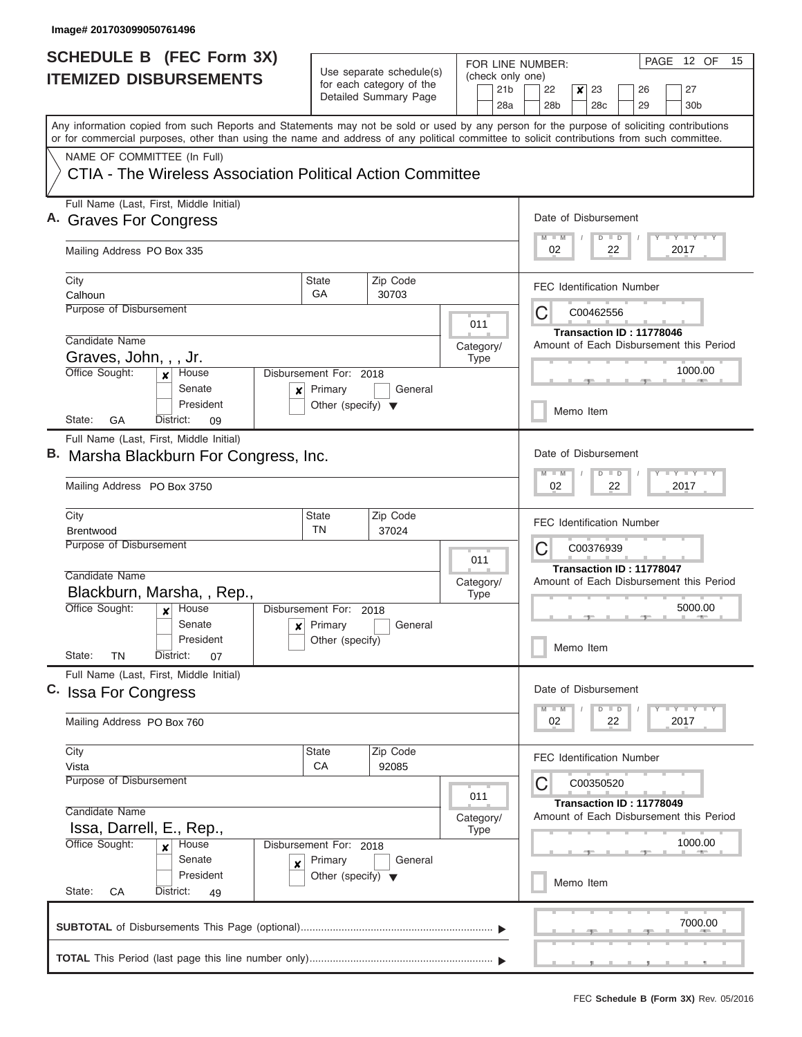$\overline{\phantom{a}}$ 

| (check only one)<br><b>ITEMIZED DISBURSEMENTS</b><br>for each category of the<br>21 <sub>b</sub><br>22<br>23<br>27<br>$\boldsymbol{x}$<br>26<br>Detailed Summary Page<br>28 <sub>b</sub><br>28 <sub>c</sub><br>28a<br>29<br>30 <sub>b</sub><br>Any information copied from such Reports and Statements may not be sold or used by any person for the purpose of soliciting contributions<br>or for commercial purposes, other than using the name and address of any political committee to solicit contributions from such committee.<br>NAME OF COMMITTEE (In Full)<br>CTIA - The Wireless Association Political Action Committee<br>Full Name (Last, First, Middle Initial)<br>Date of Disbursement<br><b>Graves For Congress</b><br>Y L Y L Y L Y<br>$M$ $M$<br>$D$ $D$<br>Mailing Address PO Box 335<br>02<br>22<br>2017<br><b>State</b><br>Zip Code<br>City<br><b>FEC Identification Number</b><br>GA<br>Calhoun<br>30703<br>Purpose of Disbursement<br>C<br>C00462556<br>011<br>Transaction ID: 11778046<br>Candidate Name<br>Amount of Each Disbursement this Period<br>Category/<br>Graves, John, , , Jr.<br><b>Type</b><br>1000.00<br>Office Sought:<br>House<br>Disbursement For: 2018<br>$\mathbf{x}$<br>Senate<br>Primary<br>General<br>×<br>President<br>Other (specify) $\blacktriangledown$<br>Memo Item<br>GA<br>State:<br>District:<br>09<br>Full Name (Last, First, Middle Initial)<br>Date of Disbursement<br>B. Marsha Blackburn For Congress, Inc.<br>Y FY FY FY<br>$M - M$<br>$D$ $D$<br>Mailing Address PO Box 3750<br>02<br>22<br>2017<br>City<br>State<br>Zip Code<br><b>FEC Identification Number</b><br>TN<br>Brentwood<br>37024<br>Purpose of Disbursement<br>C<br>C00376939<br>011<br>Transaction ID: 11778047<br>Candidate Name<br>Amount of Each Disbursement this Period<br>Category/<br>Blackburn, Marsha, , Rep.,<br>Type<br>Office Sought:<br>5000.00<br>House<br>Disbursement For: 2018<br>$\mathbf x$<br>Senate<br>Primary<br>General<br>x<br>President<br>Other (specify)<br>Memo Item<br>State:<br>ΤN<br>District:<br>07<br>Full Name (Last, First, Middle Initial)<br>Date of Disbursement<br>C. Issa For Congress<br>$Y$ $Y$ $Y$ $Y$ $Y$<br>$D$ $D$<br>$M - M$<br>Mailing Address PO Box 760<br>2017<br>02<br>22<br>City<br>State<br>Zip Code<br><b>FEC Identification Number</b><br>CA<br>Vista<br>92085<br>Purpose of Disbursement<br>C<br>C00350520<br>011<br>Transaction ID: 11778049<br>Candidate Name<br>Amount of Each Disbursement this Period<br>Category/<br>Issa, Darrell, E., Rep.,<br><b>Type</b><br>Office Sought:<br>1000.00<br>Disbursement For: 2018<br>House<br>$\boldsymbol{x}$<br>Senate<br>Primary<br>General<br>X<br>President<br>Other (specify) $\blacktriangledown$<br>Memo Item<br>State:<br>СA<br>District:<br>49<br>7000.00 |  | <b>SCHEDULE B</b> (FEC Form 3X) | Use separate schedule(s) |  | PAGE 12 OF<br>15<br>FOR LINE NUMBER: |  |  |  |  |
|---------------------------------------------------------------------------------------------------------------------------------------------------------------------------------------------------------------------------------------------------------------------------------------------------------------------------------------------------------------------------------------------------------------------------------------------------------------------------------------------------------------------------------------------------------------------------------------------------------------------------------------------------------------------------------------------------------------------------------------------------------------------------------------------------------------------------------------------------------------------------------------------------------------------------------------------------------------------------------------------------------------------------------------------------------------------------------------------------------------------------------------------------------------------------------------------------------------------------------------------------------------------------------------------------------------------------------------------------------------------------------------------------------------------------------------------------------------------------------------------------------------------------------------------------------------------------------------------------------------------------------------------------------------------------------------------------------------------------------------------------------------------------------------------------------------------------------------------------------------------------------------------------------------------------------------------------------------------------------------------------------------------------------------------------------------------------------------------------------------------------------------------------------------------------------------------------------------------------------------------------------------------------------------------------------------------------------------------------------------------------------------------------------------------------------------------------------------------------------------------------------------------------------------------------------------------------------------------------------------------------------------------------------------------------------------------------------------------------------------------------------------------------------------------------|--|---------------------------------|--------------------------|--|--------------------------------------|--|--|--|--|
|                                                                                                                                                                                                                                                                                                                                                                                                                                                                                                                                                                                                                                                                                                                                                                                                                                                                                                                                                                                                                                                                                                                                                                                                                                                                                                                                                                                                                                                                                                                                                                                                                                                                                                                                                                                                                                                                                                                                                                                                                                                                                                                                                                                                                                                                                                                                                                                                                                                                                                                                                                                                                                                                                                                                                                                                   |  |                                 |                          |  |                                      |  |  |  |  |
|                                                                                                                                                                                                                                                                                                                                                                                                                                                                                                                                                                                                                                                                                                                                                                                                                                                                                                                                                                                                                                                                                                                                                                                                                                                                                                                                                                                                                                                                                                                                                                                                                                                                                                                                                                                                                                                                                                                                                                                                                                                                                                                                                                                                                                                                                                                                                                                                                                                                                                                                                                                                                                                                                                                                                                                                   |  |                                 |                          |  |                                      |  |  |  |  |
|                                                                                                                                                                                                                                                                                                                                                                                                                                                                                                                                                                                                                                                                                                                                                                                                                                                                                                                                                                                                                                                                                                                                                                                                                                                                                                                                                                                                                                                                                                                                                                                                                                                                                                                                                                                                                                                                                                                                                                                                                                                                                                                                                                                                                                                                                                                                                                                                                                                                                                                                                                                                                                                                                                                                                                                                   |  |                                 |                          |  |                                      |  |  |  |  |
|                                                                                                                                                                                                                                                                                                                                                                                                                                                                                                                                                                                                                                                                                                                                                                                                                                                                                                                                                                                                                                                                                                                                                                                                                                                                                                                                                                                                                                                                                                                                                                                                                                                                                                                                                                                                                                                                                                                                                                                                                                                                                                                                                                                                                                                                                                                                                                                                                                                                                                                                                                                                                                                                                                                                                                                                   |  |                                 |                          |  |                                      |  |  |  |  |
|                                                                                                                                                                                                                                                                                                                                                                                                                                                                                                                                                                                                                                                                                                                                                                                                                                                                                                                                                                                                                                                                                                                                                                                                                                                                                                                                                                                                                                                                                                                                                                                                                                                                                                                                                                                                                                                                                                                                                                                                                                                                                                                                                                                                                                                                                                                                                                                                                                                                                                                                                                                                                                                                                                                                                                                                   |  |                                 |                          |  |                                      |  |  |  |  |
|                                                                                                                                                                                                                                                                                                                                                                                                                                                                                                                                                                                                                                                                                                                                                                                                                                                                                                                                                                                                                                                                                                                                                                                                                                                                                                                                                                                                                                                                                                                                                                                                                                                                                                                                                                                                                                                                                                                                                                                                                                                                                                                                                                                                                                                                                                                                                                                                                                                                                                                                                                                                                                                                                                                                                                                                   |  |                                 |                          |  |                                      |  |  |  |  |
|                                                                                                                                                                                                                                                                                                                                                                                                                                                                                                                                                                                                                                                                                                                                                                                                                                                                                                                                                                                                                                                                                                                                                                                                                                                                                                                                                                                                                                                                                                                                                                                                                                                                                                                                                                                                                                                                                                                                                                                                                                                                                                                                                                                                                                                                                                                                                                                                                                                                                                                                                                                                                                                                                                                                                                                                   |  |                                 |                          |  |                                      |  |  |  |  |
|                                                                                                                                                                                                                                                                                                                                                                                                                                                                                                                                                                                                                                                                                                                                                                                                                                                                                                                                                                                                                                                                                                                                                                                                                                                                                                                                                                                                                                                                                                                                                                                                                                                                                                                                                                                                                                                                                                                                                                                                                                                                                                                                                                                                                                                                                                                                                                                                                                                                                                                                                                                                                                                                                                                                                                                                   |  |                                 |                          |  |                                      |  |  |  |  |
|                                                                                                                                                                                                                                                                                                                                                                                                                                                                                                                                                                                                                                                                                                                                                                                                                                                                                                                                                                                                                                                                                                                                                                                                                                                                                                                                                                                                                                                                                                                                                                                                                                                                                                                                                                                                                                                                                                                                                                                                                                                                                                                                                                                                                                                                                                                                                                                                                                                                                                                                                                                                                                                                                                                                                                                                   |  |                                 |                          |  |                                      |  |  |  |  |
|                                                                                                                                                                                                                                                                                                                                                                                                                                                                                                                                                                                                                                                                                                                                                                                                                                                                                                                                                                                                                                                                                                                                                                                                                                                                                                                                                                                                                                                                                                                                                                                                                                                                                                                                                                                                                                                                                                                                                                                                                                                                                                                                                                                                                                                                                                                                                                                                                                                                                                                                                                                                                                                                                                                                                                                                   |  |                                 |                          |  |                                      |  |  |  |  |
|                                                                                                                                                                                                                                                                                                                                                                                                                                                                                                                                                                                                                                                                                                                                                                                                                                                                                                                                                                                                                                                                                                                                                                                                                                                                                                                                                                                                                                                                                                                                                                                                                                                                                                                                                                                                                                                                                                                                                                                                                                                                                                                                                                                                                                                                                                                                                                                                                                                                                                                                                                                                                                                                                                                                                                                                   |  |                                 |                          |  |                                      |  |  |  |  |
|                                                                                                                                                                                                                                                                                                                                                                                                                                                                                                                                                                                                                                                                                                                                                                                                                                                                                                                                                                                                                                                                                                                                                                                                                                                                                                                                                                                                                                                                                                                                                                                                                                                                                                                                                                                                                                                                                                                                                                                                                                                                                                                                                                                                                                                                                                                                                                                                                                                                                                                                                                                                                                                                                                                                                                                                   |  |                                 |                          |  |                                      |  |  |  |  |
|                                                                                                                                                                                                                                                                                                                                                                                                                                                                                                                                                                                                                                                                                                                                                                                                                                                                                                                                                                                                                                                                                                                                                                                                                                                                                                                                                                                                                                                                                                                                                                                                                                                                                                                                                                                                                                                                                                                                                                                                                                                                                                                                                                                                                                                                                                                                                                                                                                                                                                                                                                                                                                                                                                                                                                                                   |  |                                 |                          |  |                                      |  |  |  |  |
|                                                                                                                                                                                                                                                                                                                                                                                                                                                                                                                                                                                                                                                                                                                                                                                                                                                                                                                                                                                                                                                                                                                                                                                                                                                                                                                                                                                                                                                                                                                                                                                                                                                                                                                                                                                                                                                                                                                                                                                                                                                                                                                                                                                                                                                                                                                                                                                                                                                                                                                                                                                                                                                                                                                                                                                                   |  |                                 |                          |  |                                      |  |  |  |  |
|                                                                                                                                                                                                                                                                                                                                                                                                                                                                                                                                                                                                                                                                                                                                                                                                                                                                                                                                                                                                                                                                                                                                                                                                                                                                                                                                                                                                                                                                                                                                                                                                                                                                                                                                                                                                                                                                                                                                                                                                                                                                                                                                                                                                                                                                                                                                                                                                                                                                                                                                                                                                                                                                                                                                                                                                   |  |                                 |                          |  |                                      |  |  |  |  |
|                                                                                                                                                                                                                                                                                                                                                                                                                                                                                                                                                                                                                                                                                                                                                                                                                                                                                                                                                                                                                                                                                                                                                                                                                                                                                                                                                                                                                                                                                                                                                                                                                                                                                                                                                                                                                                                                                                                                                                                                                                                                                                                                                                                                                                                                                                                                                                                                                                                                                                                                                                                                                                                                                                                                                                                                   |  |                                 |                          |  |                                      |  |  |  |  |
|                                                                                                                                                                                                                                                                                                                                                                                                                                                                                                                                                                                                                                                                                                                                                                                                                                                                                                                                                                                                                                                                                                                                                                                                                                                                                                                                                                                                                                                                                                                                                                                                                                                                                                                                                                                                                                                                                                                                                                                                                                                                                                                                                                                                                                                                                                                                                                                                                                                                                                                                                                                                                                                                                                                                                                                                   |  |                                 |                          |  |                                      |  |  |  |  |
|                                                                                                                                                                                                                                                                                                                                                                                                                                                                                                                                                                                                                                                                                                                                                                                                                                                                                                                                                                                                                                                                                                                                                                                                                                                                                                                                                                                                                                                                                                                                                                                                                                                                                                                                                                                                                                                                                                                                                                                                                                                                                                                                                                                                                                                                                                                                                                                                                                                                                                                                                                                                                                                                                                                                                                                                   |  |                                 |                          |  |                                      |  |  |  |  |
|                                                                                                                                                                                                                                                                                                                                                                                                                                                                                                                                                                                                                                                                                                                                                                                                                                                                                                                                                                                                                                                                                                                                                                                                                                                                                                                                                                                                                                                                                                                                                                                                                                                                                                                                                                                                                                                                                                                                                                                                                                                                                                                                                                                                                                                                                                                                                                                                                                                                                                                                                                                                                                                                                                                                                                                                   |  |                                 |                          |  |                                      |  |  |  |  |
|                                                                                                                                                                                                                                                                                                                                                                                                                                                                                                                                                                                                                                                                                                                                                                                                                                                                                                                                                                                                                                                                                                                                                                                                                                                                                                                                                                                                                                                                                                                                                                                                                                                                                                                                                                                                                                                                                                                                                                                                                                                                                                                                                                                                                                                                                                                                                                                                                                                                                                                                                                                                                                                                                                                                                                                                   |  |                                 |                          |  |                                      |  |  |  |  |
|                                                                                                                                                                                                                                                                                                                                                                                                                                                                                                                                                                                                                                                                                                                                                                                                                                                                                                                                                                                                                                                                                                                                                                                                                                                                                                                                                                                                                                                                                                                                                                                                                                                                                                                                                                                                                                                                                                                                                                                                                                                                                                                                                                                                                                                                                                                                                                                                                                                                                                                                                                                                                                                                                                                                                                                                   |  |                                 |                          |  |                                      |  |  |  |  |
|                                                                                                                                                                                                                                                                                                                                                                                                                                                                                                                                                                                                                                                                                                                                                                                                                                                                                                                                                                                                                                                                                                                                                                                                                                                                                                                                                                                                                                                                                                                                                                                                                                                                                                                                                                                                                                                                                                                                                                                                                                                                                                                                                                                                                                                                                                                                                                                                                                                                                                                                                                                                                                                                                                                                                                                                   |  |                                 |                          |  |                                      |  |  |  |  |
|                                                                                                                                                                                                                                                                                                                                                                                                                                                                                                                                                                                                                                                                                                                                                                                                                                                                                                                                                                                                                                                                                                                                                                                                                                                                                                                                                                                                                                                                                                                                                                                                                                                                                                                                                                                                                                                                                                                                                                                                                                                                                                                                                                                                                                                                                                                                                                                                                                                                                                                                                                                                                                                                                                                                                                                                   |  |                                 |                          |  |                                      |  |  |  |  |
|                                                                                                                                                                                                                                                                                                                                                                                                                                                                                                                                                                                                                                                                                                                                                                                                                                                                                                                                                                                                                                                                                                                                                                                                                                                                                                                                                                                                                                                                                                                                                                                                                                                                                                                                                                                                                                                                                                                                                                                                                                                                                                                                                                                                                                                                                                                                                                                                                                                                                                                                                                                                                                                                                                                                                                                                   |  |                                 |                          |  |                                      |  |  |  |  |
|                                                                                                                                                                                                                                                                                                                                                                                                                                                                                                                                                                                                                                                                                                                                                                                                                                                                                                                                                                                                                                                                                                                                                                                                                                                                                                                                                                                                                                                                                                                                                                                                                                                                                                                                                                                                                                                                                                                                                                                                                                                                                                                                                                                                                                                                                                                                                                                                                                                                                                                                                                                                                                                                                                                                                                                                   |  |                                 |                          |  |                                      |  |  |  |  |
|                                                                                                                                                                                                                                                                                                                                                                                                                                                                                                                                                                                                                                                                                                                                                                                                                                                                                                                                                                                                                                                                                                                                                                                                                                                                                                                                                                                                                                                                                                                                                                                                                                                                                                                                                                                                                                                                                                                                                                                                                                                                                                                                                                                                                                                                                                                                                                                                                                                                                                                                                                                                                                                                                                                                                                                                   |  |                                 |                          |  |                                      |  |  |  |  |
|                                                                                                                                                                                                                                                                                                                                                                                                                                                                                                                                                                                                                                                                                                                                                                                                                                                                                                                                                                                                                                                                                                                                                                                                                                                                                                                                                                                                                                                                                                                                                                                                                                                                                                                                                                                                                                                                                                                                                                                                                                                                                                                                                                                                                                                                                                                                                                                                                                                                                                                                                                                                                                                                                                                                                                                                   |  |                                 |                          |  |                                      |  |  |  |  |
|                                                                                                                                                                                                                                                                                                                                                                                                                                                                                                                                                                                                                                                                                                                                                                                                                                                                                                                                                                                                                                                                                                                                                                                                                                                                                                                                                                                                                                                                                                                                                                                                                                                                                                                                                                                                                                                                                                                                                                                                                                                                                                                                                                                                                                                                                                                                                                                                                                                                                                                                                                                                                                                                                                                                                                                                   |  |                                 |                          |  |                                      |  |  |  |  |
|                                                                                                                                                                                                                                                                                                                                                                                                                                                                                                                                                                                                                                                                                                                                                                                                                                                                                                                                                                                                                                                                                                                                                                                                                                                                                                                                                                                                                                                                                                                                                                                                                                                                                                                                                                                                                                                                                                                                                                                                                                                                                                                                                                                                                                                                                                                                                                                                                                                                                                                                                                                                                                                                                                                                                                                                   |  |                                 |                          |  |                                      |  |  |  |  |
|                                                                                                                                                                                                                                                                                                                                                                                                                                                                                                                                                                                                                                                                                                                                                                                                                                                                                                                                                                                                                                                                                                                                                                                                                                                                                                                                                                                                                                                                                                                                                                                                                                                                                                                                                                                                                                                                                                                                                                                                                                                                                                                                                                                                                                                                                                                                                                                                                                                                                                                                                                                                                                                                                                                                                                                                   |  |                                 |                          |  |                                      |  |  |  |  |
|                                                                                                                                                                                                                                                                                                                                                                                                                                                                                                                                                                                                                                                                                                                                                                                                                                                                                                                                                                                                                                                                                                                                                                                                                                                                                                                                                                                                                                                                                                                                                                                                                                                                                                                                                                                                                                                                                                                                                                                                                                                                                                                                                                                                                                                                                                                                                                                                                                                                                                                                                                                                                                                                                                                                                                                                   |  |                                 |                          |  |                                      |  |  |  |  |
|                                                                                                                                                                                                                                                                                                                                                                                                                                                                                                                                                                                                                                                                                                                                                                                                                                                                                                                                                                                                                                                                                                                                                                                                                                                                                                                                                                                                                                                                                                                                                                                                                                                                                                                                                                                                                                                                                                                                                                                                                                                                                                                                                                                                                                                                                                                                                                                                                                                                                                                                                                                                                                                                                                                                                                                                   |  |                                 |                          |  |                                      |  |  |  |  |
|                                                                                                                                                                                                                                                                                                                                                                                                                                                                                                                                                                                                                                                                                                                                                                                                                                                                                                                                                                                                                                                                                                                                                                                                                                                                                                                                                                                                                                                                                                                                                                                                                                                                                                                                                                                                                                                                                                                                                                                                                                                                                                                                                                                                                                                                                                                                                                                                                                                                                                                                                                                                                                                                                                                                                                                                   |  |                                 |                          |  |                                      |  |  |  |  |
|                                                                                                                                                                                                                                                                                                                                                                                                                                                                                                                                                                                                                                                                                                                                                                                                                                                                                                                                                                                                                                                                                                                                                                                                                                                                                                                                                                                                                                                                                                                                                                                                                                                                                                                                                                                                                                                                                                                                                                                                                                                                                                                                                                                                                                                                                                                                                                                                                                                                                                                                                                                                                                                                                                                                                                                                   |  |                                 |                          |  |                                      |  |  |  |  |
|                                                                                                                                                                                                                                                                                                                                                                                                                                                                                                                                                                                                                                                                                                                                                                                                                                                                                                                                                                                                                                                                                                                                                                                                                                                                                                                                                                                                                                                                                                                                                                                                                                                                                                                                                                                                                                                                                                                                                                                                                                                                                                                                                                                                                                                                                                                                                                                                                                                                                                                                                                                                                                                                                                                                                                                                   |  |                                 |                          |  |                                      |  |  |  |  |
|                                                                                                                                                                                                                                                                                                                                                                                                                                                                                                                                                                                                                                                                                                                                                                                                                                                                                                                                                                                                                                                                                                                                                                                                                                                                                                                                                                                                                                                                                                                                                                                                                                                                                                                                                                                                                                                                                                                                                                                                                                                                                                                                                                                                                                                                                                                                                                                                                                                                                                                                                                                                                                                                                                                                                                                                   |  |                                 |                          |  |                                      |  |  |  |  |
|                                                                                                                                                                                                                                                                                                                                                                                                                                                                                                                                                                                                                                                                                                                                                                                                                                                                                                                                                                                                                                                                                                                                                                                                                                                                                                                                                                                                                                                                                                                                                                                                                                                                                                                                                                                                                                                                                                                                                                                                                                                                                                                                                                                                                                                                                                                                                                                                                                                                                                                                                                                                                                                                                                                                                                                                   |  |                                 |                          |  |                                      |  |  |  |  |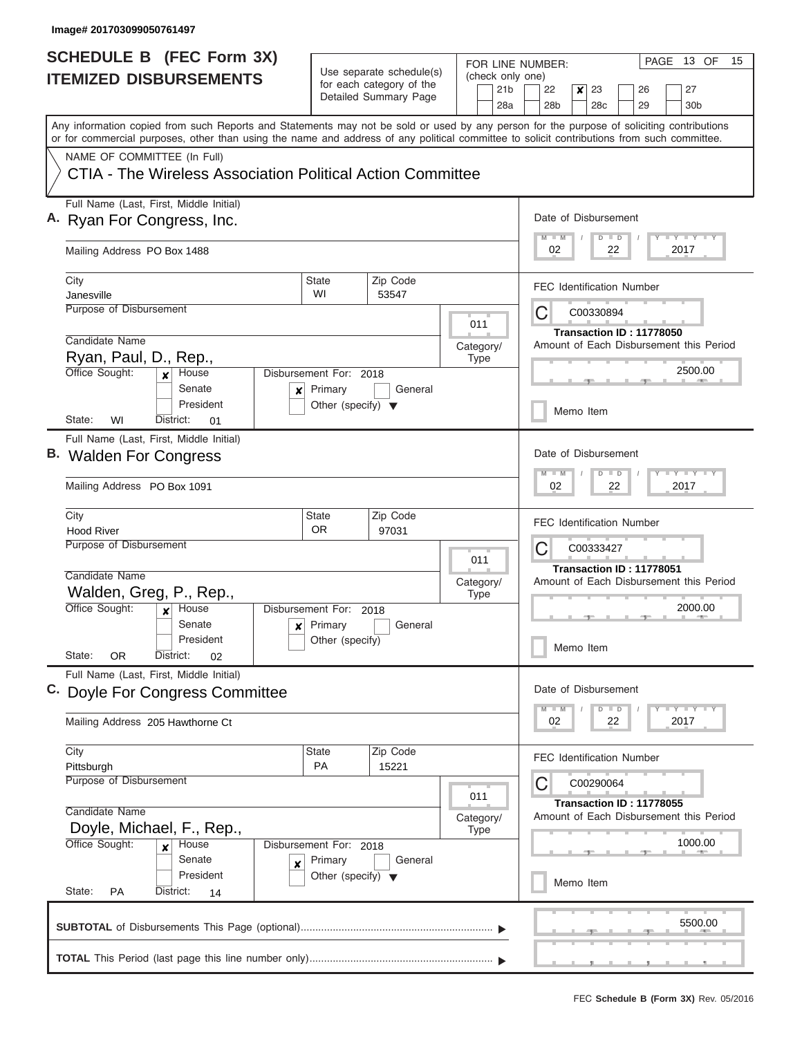| <b>SCHEDULE B (FEC Form 3X)</b> |                                                                                                                                                                                                                                                                                         |                                                      |                        |                          |             | PAGE 13 OF<br>15<br>FOR LINE NUMBER:    |                                                                                          |  |  |  |  |
|---------------------------------|-----------------------------------------------------------------------------------------------------------------------------------------------------------------------------------------------------------------------------------------------------------------------------------------|------------------------------------------------------|------------------------|--------------------------|-------------|-----------------------------------------|------------------------------------------------------------------------------------------|--|--|--|--|
| <b>ITEMIZED DISBURSEMENTS</b>   |                                                                                                                                                                                                                                                                                         | Use separate schedule(s)<br>for each category of the |                        |                          |             | (check only one)                        |                                                                                          |  |  |  |  |
|                                 |                                                                                                                                                                                                                                                                                         |                                                      | Detailed Summary Page  |                          |             | 21 <sub>b</sub><br>28a                  | 22<br>23<br>26<br>27<br>×<br>28 <sub>b</sub><br>28 <sub>c</sub><br>29<br>30 <sub>b</sub> |  |  |  |  |
|                                 | Any information copied from such Reports and Statements may not be sold or used by any person for the purpose of soliciting contributions<br>or for commercial purposes, other than using the name and address of any political committee to solicit contributions from such committee. |                                                      |                        |                          |             |                                         |                                                                                          |  |  |  |  |
|                                 | NAME OF COMMITTEE (In Full)                                                                                                                                                                                                                                                             |                                                      |                        |                          |             |                                         |                                                                                          |  |  |  |  |
|                                 | CTIA - The Wireless Association Political Action Committee                                                                                                                                                                                                                              |                                                      |                        |                          |             |                                         |                                                                                          |  |  |  |  |
|                                 | Full Name (Last, First, Middle Initial)<br>A. Ryan For Congress, Inc.                                                                                                                                                                                                                   |                                                      |                        |                          |             |                                         | Date of Disbursement<br><b>LY LY LY</b><br>$D$ $D$                                       |  |  |  |  |
|                                 | Mailing Address PO Box 1488                                                                                                                                                                                                                                                             |                                                      |                        |                          |             |                                         | 02<br>22<br>2017                                                                         |  |  |  |  |
|                                 | City                                                                                                                                                                                                                                                                                    | State                                                | Zip Code               |                          |             |                                         | <b>FEC Identification Number</b>                                                         |  |  |  |  |
|                                 | Janesville<br>Purpose of Disbursement                                                                                                                                                                                                                                                   | WI                                                   | 53547                  |                          |             |                                         |                                                                                          |  |  |  |  |
|                                 |                                                                                                                                                                                                                                                                                         |                                                      |                        |                          | 011         |                                         | C<br>C00330894                                                                           |  |  |  |  |
|                                 | Candidate Name                                                                                                                                                                                                                                                                          |                                                      | Category/              |                          |             | Transaction ID: 11778050                |                                                                                          |  |  |  |  |
|                                 | Ryan, Paul, D., Rep.,                                                                                                                                                                                                                                                                   |                                                      |                        |                          | <b>Type</b> |                                         | Amount of Each Disbursement this Period                                                  |  |  |  |  |
|                                 | Office Sought:<br>House<br>$\boldsymbol{x}$<br>Senate<br>×                                                                                                                                                                                                                              | Disbursement For: 2018<br>Primary                    | General                |                          |             |                                         | 2500.00                                                                                  |  |  |  |  |
|                                 | President<br>State:<br>WI<br>District:<br>01                                                                                                                                                                                                                                            | Other (specify) $\blacktriangledown$                 |                        |                          |             |                                         | Memo Item                                                                                |  |  |  |  |
|                                 | Full Name (Last, First, Middle Initial)                                                                                                                                                                                                                                                 |                                                      |                        |                          |             |                                         |                                                                                          |  |  |  |  |
|                                 | B. Walden For Congress                                                                                                                                                                                                                                                                  |                                                      |                        |                          |             |                                         | Date of Disbursement                                                                     |  |  |  |  |
|                                 | Mailing Address PO Box 1091                                                                                                                                                                                                                                                             |                                                      |                        |                          |             |                                         | $-Y - Y - I - Y$<br>$M - M$<br>$D$ $D$<br>02<br>22<br>2017                               |  |  |  |  |
|                                 | City                                                                                                                                                                                                                                                                                    | <b>State</b>                                         | Zip Code               |                          |             |                                         | <b>FEC Identification Number</b>                                                         |  |  |  |  |
|                                 | <b>Hood River</b>                                                                                                                                                                                                                                                                       | <b>OR</b>                                            | 97031                  |                          |             |                                         |                                                                                          |  |  |  |  |
|                                 | <b>Purpose of Disbursement</b>                                                                                                                                                                                                                                                          |                                                      |                        |                          |             |                                         | C<br>C00333427                                                                           |  |  |  |  |
|                                 | Candidate Name                                                                                                                                                                                                                                                                          |                                                      |                        |                          | 011         |                                         | Transaction ID: 11778051                                                                 |  |  |  |  |
|                                 | Walden, Greg, P., Rep.,                                                                                                                                                                                                                                                                 |                                                      |                        | Category/<br><b>Type</b> |             | Amount of Each Disbursement this Period |                                                                                          |  |  |  |  |
|                                 | Office Sought:<br>House<br>$\boldsymbol{x}$                                                                                                                                                                                                                                             |                                                      | Disbursement For: 2018 |                          |             |                                         | 2000.00                                                                                  |  |  |  |  |
|                                 | Senate<br>$\boldsymbol{x}$                                                                                                                                                                                                                                                              | Primary<br>General                                   |                        |                          |             |                                         |                                                                                          |  |  |  |  |
|                                 | President                                                                                                                                                                                                                                                                               | Other (specify)                                      |                        |                          |             |                                         | Memo Item                                                                                |  |  |  |  |
|                                 | State:<br>0R<br>District:<br>02                                                                                                                                                                                                                                                         |                                                      |                        |                          |             |                                         |                                                                                          |  |  |  |  |
|                                 | Full Name (Last, First, Middle Initial)                                                                                                                                                                                                                                                 |                                                      |                        |                          |             |                                         | Date of Disbursement                                                                     |  |  |  |  |
|                                 | C. Doyle For Congress Committee                                                                                                                                                                                                                                                         |                                                      |                        |                          |             |                                         |                                                                                          |  |  |  |  |
|                                 | Mailing Address 205 Hawthorne Ct                                                                                                                                                                                                                                                        |                                                      |                        |                          |             |                                         | $T - Y$ $T - Y$<br>$M - M$<br>$D$ $D$<br>02<br>2017<br>22                                |  |  |  |  |
|                                 | City                                                                                                                                                                                                                                                                                    | <b>State</b>                                         | Zip Code               |                          |             |                                         | <b>FEC Identification Number</b>                                                         |  |  |  |  |
|                                 | PA<br>15221<br>Pittsburgh                                                                                                                                                                                                                                                               |                                                      |                        |                          |             |                                         |                                                                                          |  |  |  |  |
|                                 | <b>Purpose of Disbursement</b><br>011                                                                                                                                                                                                                                                   |                                                      |                        |                          |             |                                         | С<br>C00290064                                                                           |  |  |  |  |
|                                 | Candidate Name                                                                                                                                                                                                                                                                          |                                                      |                        |                          |             |                                         | Transaction ID: 11778055                                                                 |  |  |  |  |
|                                 | Category/<br>Doyle, Michael, F., Rep.,<br><b>Type</b>                                                                                                                                                                                                                                   |                                                      |                        |                          |             |                                         | Amount of Each Disbursement this Period                                                  |  |  |  |  |
|                                 | Office Sought:<br>Disbursement For: 2018<br>House<br>$\boldsymbol{x}$                                                                                                                                                                                                                   |                                                      |                        |                          |             |                                         | 1000.00                                                                                  |  |  |  |  |
|                                 | Senate<br>×                                                                                                                                                                                                                                                                             | Primary<br>General                                   |                        |                          |             |                                         |                                                                                          |  |  |  |  |
|                                 | President                                                                                                                                                                                                                                                                               | Other (specify) $\blacktriangledown$                 |                        |                          |             | Memo Item                               |                                                                                          |  |  |  |  |
|                                 | State:<br>PA<br>District:<br>14                                                                                                                                                                                                                                                         |                                                      |                        |                          |             |                                         |                                                                                          |  |  |  |  |
|                                 |                                                                                                                                                                                                                                                                                         |                                                      |                        |                          |             |                                         | 5500.00                                                                                  |  |  |  |  |
|                                 |                                                                                                                                                                                                                                                                                         |                                                      |                        |                          |             |                                         |                                                                                          |  |  |  |  |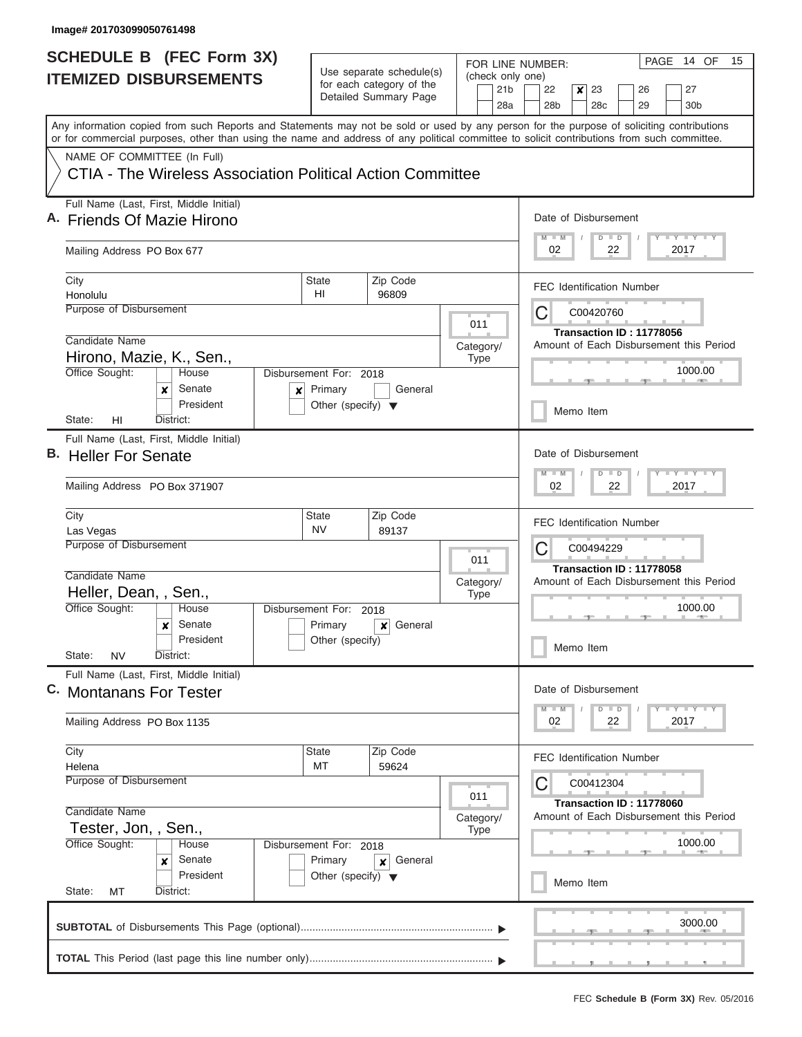| <b>SCHEDULE B</b> (FEC Form 3X)                                                                                                                                                                                                                                                         |                                                                     |                                                      | FOR LINE NUMBER:         | PAGE 14 OF<br>15                                                                            |  |  |
|-----------------------------------------------------------------------------------------------------------------------------------------------------------------------------------------------------------------------------------------------------------------------------------------|---------------------------------------------------------------------|------------------------------------------------------|--------------------------|---------------------------------------------------------------------------------------------|--|--|
| <b>ITEMIZED DISBURSEMENTS</b>                                                                                                                                                                                                                                                           |                                                                     | Use separate schedule(s)<br>for each category of the |                          | (check only one)                                                                            |  |  |
|                                                                                                                                                                                                                                                                                         |                                                                     | Detailed Summary Page                                | 21 <sub>b</sub><br>28a   | $\boldsymbol{x}$<br>23<br>27<br>22<br>26<br>28b<br>28 <sub>c</sub><br>29<br>30 <sub>b</sub> |  |  |
| Any information copied from such Reports and Statements may not be sold or used by any person for the purpose of soliciting contributions<br>or for commercial purposes, other than using the name and address of any political committee to solicit contributions from such committee. |                                                                     |                                                      |                          |                                                                                             |  |  |
| NAME OF COMMITTEE (In Full)                                                                                                                                                                                                                                                             |                                                                     |                                                      |                          |                                                                                             |  |  |
| CTIA - The Wireless Association Political Action Committee                                                                                                                                                                                                                              |                                                                     |                                                      |                          |                                                                                             |  |  |
| Full Name (Last, First, Middle Initial)<br>A. Friends Of Mazie Hirono                                                                                                                                                                                                                   | Date of Disbursement<br>Y I Y I Y I Y<br>$M$ $M$<br>$D$ $D$         |                                                      |                          |                                                                                             |  |  |
| Mailing Address PO Box 677                                                                                                                                                                                                                                                              | 02<br>22<br>2017                                                    |                                                      |                          |                                                                                             |  |  |
| City                                                                                                                                                                                                                                                                                    | State<br>HI                                                         | Zip Code                                             |                          | <b>FEC Identification Number</b>                                                            |  |  |
| Honolulu<br>Purpose of Disbursement                                                                                                                                                                                                                                                     |                                                                     | 96809                                                |                          | С<br>C00420760                                                                              |  |  |
|                                                                                                                                                                                                                                                                                         | 011                                                                 |                                                      |                          |                                                                                             |  |  |
| Candidate Name                                                                                                                                                                                                                                                                          |                                                                     |                                                      |                          | Transaction ID: 11778056<br>Amount of Each Disbursement this Period                         |  |  |
| Hirono, Mazie, K., Sen.,                                                                                                                                                                                                                                                                |                                                                     |                                                      | Category/<br><b>Type</b> |                                                                                             |  |  |
| Office Sought:<br>House                                                                                                                                                                                                                                                                 | Disbursement For: 2018                                              |                                                      |                          | 1000.00                                                                                     |  |  |
| Senate<br>x<br>President                                                                                                                                                                                                                                                                | Primary<br>$\boldsymbol{x}$<br>Other (specify) $\blacktriangledown$ | General                                              |                          | Memo Item                                                                                   |  |  |
| District:<br>State:<br>HI<br>Full Name (Last, First, Middle Initial)                                                                                                                                                                                                                    |                                                                     |                                                      |                          |                                                                                             |  |  |
| B. Heller For Senate                                                                                                                                                                                                                                                                    | Date of Disbursement<br>Y FY FY FY<br>$M - M$<br>$D$ $D$            |                                                      |                          |                                                                                             |  |  |
| Mailing Address PO Box 371907                                                                                                                                                                                                                                                           |                                                                     |                                                      |                          |                                                                                             |  |  |
| City                                                                                                                                                                                                                                                                                    | <b>State</b>                                                        | Zip Code                                             |                          | <b>FEC Identification Number</b>                                                            |  |  |
| Purpose of Disbursement                                                                                                                                                                                                                                                                 | <b>NV</b><br>89137<br>Las Vegas                                     |                                                      |                          |                                                                                             |  |  |
|                                                                                                                                                                                                                                                                                         |                                                                     |                                                      | 011                      | C<br>C00494229<br>Transaction ID: 11778058                                                  |  |  |
| Candidate Name                                                                                                                                                                                                                                                                          | Category/                                                           |                                                      |                          |                                                                                             |  |  |
| Heller, Dean, , Sen.,                                                                                                                                                                                                                                                                   |                                                                     |                                                      |                          | Amount of Each Disbursement this Period                                                     |  |  |
| Office Sought:<br>House                                                                                                                                                                                                                                                                 | Disbursement For: 2018                                              |                                                      |                          | 1000.00                                                                                     |  |  |
| Senate<br>$\boldsymbol{x}$<br>President                                                                                                                                                                                                                                                 | Primary                                                             | General<br>$\boldsymbol{x}$                          |                          |                                                                                             |  |  |
| State:<br><b>NV</b><br>District:                                                                                                                                                                                                                                                        | Other (specify)                                                     |                                                      |                          | Memo Item                                                                                   |  |  |
| Full Name (Last, First, Middle Initial)<br>C. Montanans For Tester                                                                                                                                                                                                                      | Date of Disbursement                                                |                                                      |                          |                                                                                             |  |  |
|                                                                                                                                                                                                                                                                                         | $D$ $D$<br>Y TY TY TY<br>$M$ $M$                                    |                                                      |                          |                                                                                             |  |  |
| Mailing Address PO Box 1135                                                                                                                                                                                                                                                             | 2017<br>02<br>22                                                    |                                                      |                          |                                                                                             |  |  |
| City                                                                                                                                                                                                                                                                                    | State<br>МT                                                         | Zip Code<br>59624                                    |                          | <b>FEC Identification Number</b>                                                            |  |  |
| Helena<br>Purpose of Disbursement                                                                                                                                                                                                                                                       |                                                                     |                                                      |                          |                                                                                             |  |  |
|                                                                                                                                                                                                                                                                                         | С<br>C00412304                                                      |                                                      |                          |                                                                                             |  |  |
| Candidate Name                                                                                                                                                                                                                                                                          | Transaction ID: 11778060<br>Amount of Each Disbursement this Period |                                                      |                          |                                                                                             |  |  |
| Tester, Jon, , Sen.,                                                                                                                                                                                                                                                                    |                                                                     |                                                      |                          |                                                                                             |  |  |
| Office Sought:<br>Disbursement For: 2018<br>House                                                                                                                                                                                                                                       |                                                                     | 1000.00                                              |                          |                                                                                             |  |  |
| Senate<br>x                                                                                                                                                                                                                                                                             | Primary<br>General<br>×<br>Other (specify) $\blacktriangledown$     |                                                      |                          |                                                                                             |  |  |
| President<br>State:<br>District:<br>МT                                                                                                                                                                                                                                                  |                                                                     |                                                      |                          | Memo Item                                                                                   |  |  |
|                                                                                                                                                                                                                                                                                         |                                                                     |                                                      |                          |                                                                                             |  |  |
|                                                                                                                                                                                                                                                                                         |                                                                     |                                                      |                          | 3000.00                                                                                     |  |  |
|                                                                                                                                                                                                                                                                                         |                                                                     |                                                      |                          |                                                                                             |  |  |